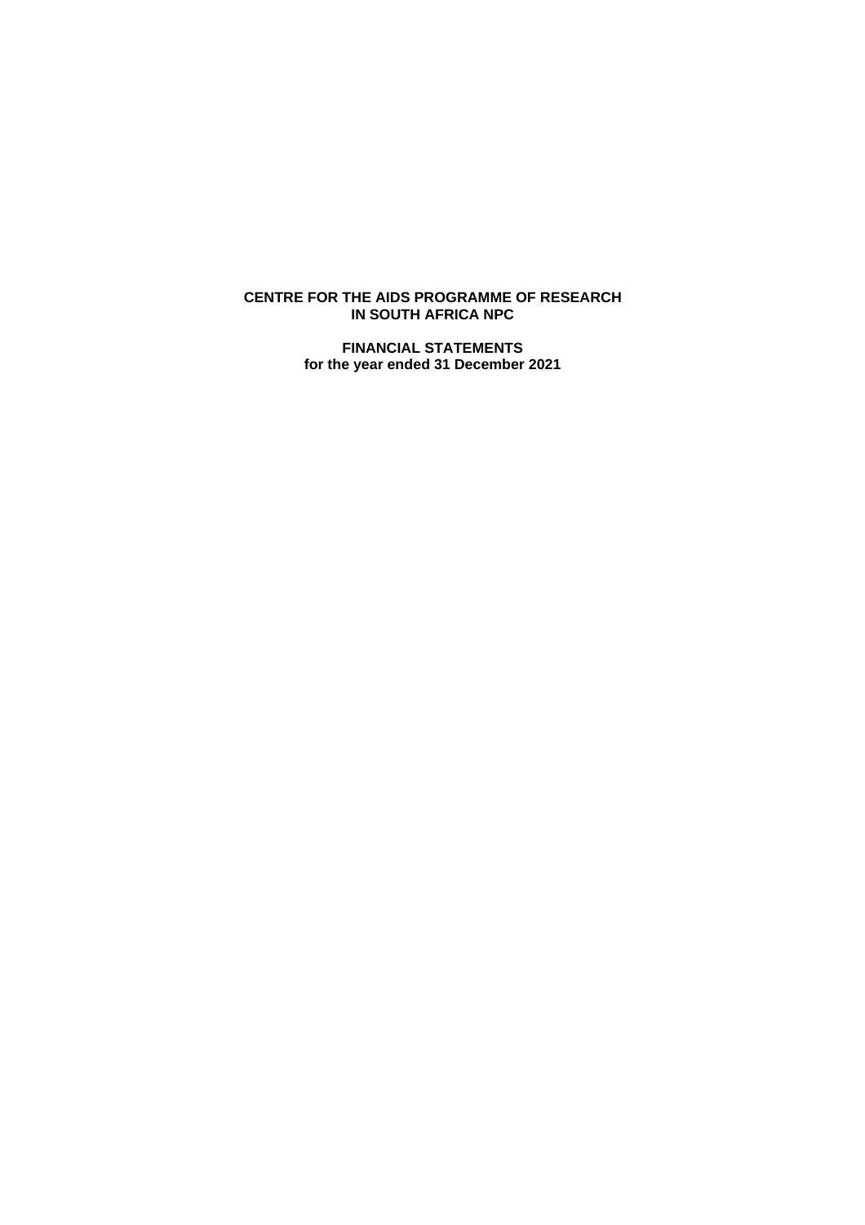# **CENTRE FOR THE AIDS PROGRAMME OF RESEARCH IN SOUTH AFRICA NPC**

**FINANCIAL STATEMENTS for the year ended 31 December 2021**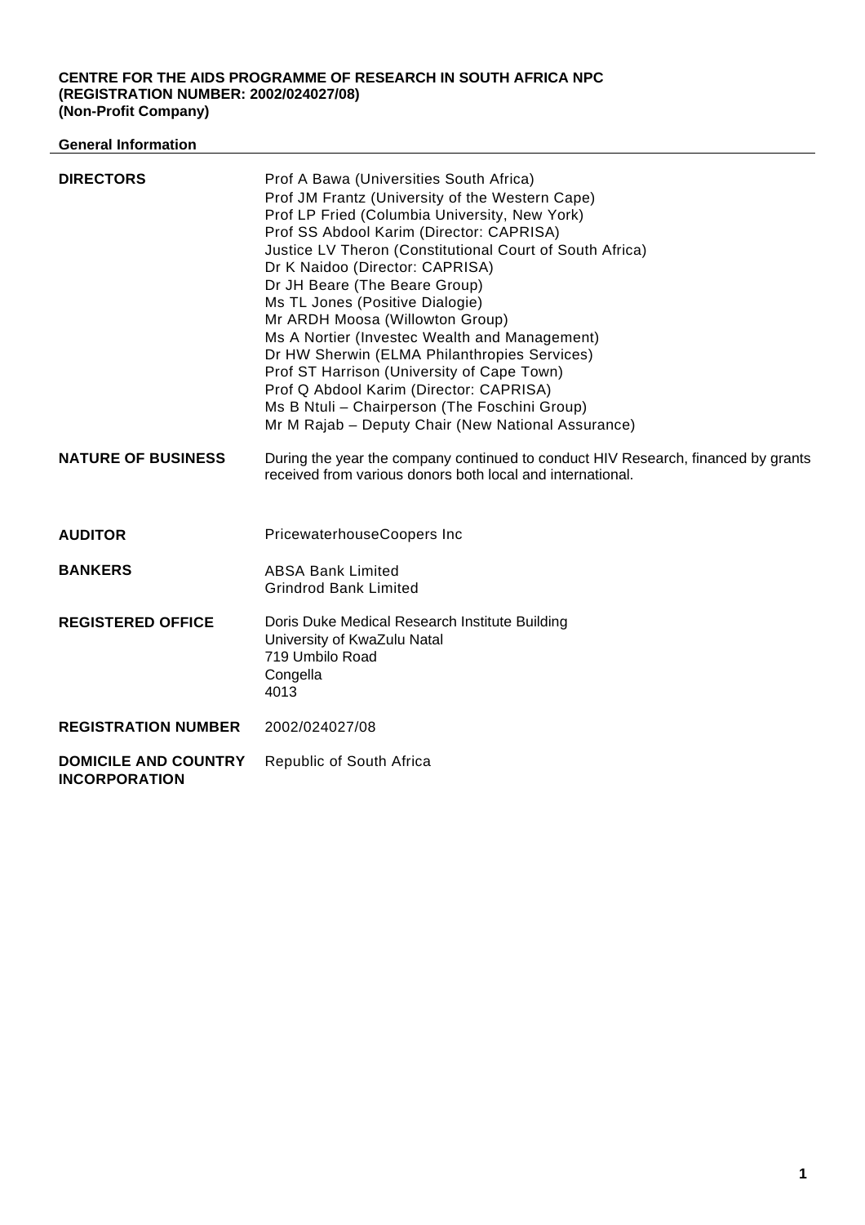# **General Information**

| <b>DIRECTORS</b>                                    | Prof A Bawa (Universities South Africa)<br>Prof JM Frantz (University of the Western Cape)<br>Prof LP Fried (Columbia University, New York)<br>Prof SS Abdool Karim (Director: CAPRISA)<br>Justice LV Theron (Constitutional Court of South Africa)<br>Dr K Naidoo (Director: CAPRISA)<br>Dr JH Beare (The Beare Group)<br>Ms TL Jones (Positive Dialogie)<br>Mr ARDH Moosa (Willowton Group)<br>Ms A Nortier (Investec Wealth and Management)<br>Dr HW Sherwin (ELMA Philanthropies Services)<br>Prof ST Harrison (University of Cape Town)<br>Prof Q Abdool Karim (Director: CAPRISA)<br>Ms B Ntuli - Chairperson (The Foschini Group)<br>Mr M Rajab - Deputy Chair (New National Assurance) |
|-----------------------------------------------------|------------------------------------------------------------------------------------------------------------------------------------------------------------------------------------------------------------------------------------------------------------------------------------------------------------------------------------------------------------------------------------------------------------------------------------------------------------------------------------------------------------------------------------------------------------------------------------------------------------------------------------------------------------------------------------------------|
| <b>NATURE OF BUSINESS</b>                           | During the year the company continued to conduct HIV Research, financed by grants<br>received from various donors both local and international.                                                                                                                                                                                                                                                                                                                                                                                                                                                                                                                                                |
| <b>AUDITOR</b>                                      | PricewaterhouseCoopers Inc                                                                                                                                                                                                                                                                                                                                                                                                                                                                                                                                                                                                                                                                     |
| <b>BANKERS</b>                                      | <b>ABSA Bank Limited</b><br><b>Grindrod Bank Limited</b>                                                                                                                                                                                                                                                                                                                                                                                                                                                                                                                                                                                                                                       |
| <b>REGISTERED OFFICE</b>                            | Doris Duke Medical Research Institute Building<br>University of KwaZulu Natal<br>719 Umbilo Road<br>Congella<br>4013                                                                                                                                                                                                                                                                                                                                                                                                                                                                                                                                                                           |
| <b>REGISTRATION NUMBER</b>                          | 2002/024027/08                                                                                                                                                                                                                                                                                                                                                                                                                                                                                                                                                                                                                                                                                 |
| <b>DOMICILE AND COUNTRY</b><br><b>INCORPORATION</b> | Republic of South Africa                                                                                                                                                                                                                                                                                                                                                                                                                                                                                                                                                                                                                                                                       |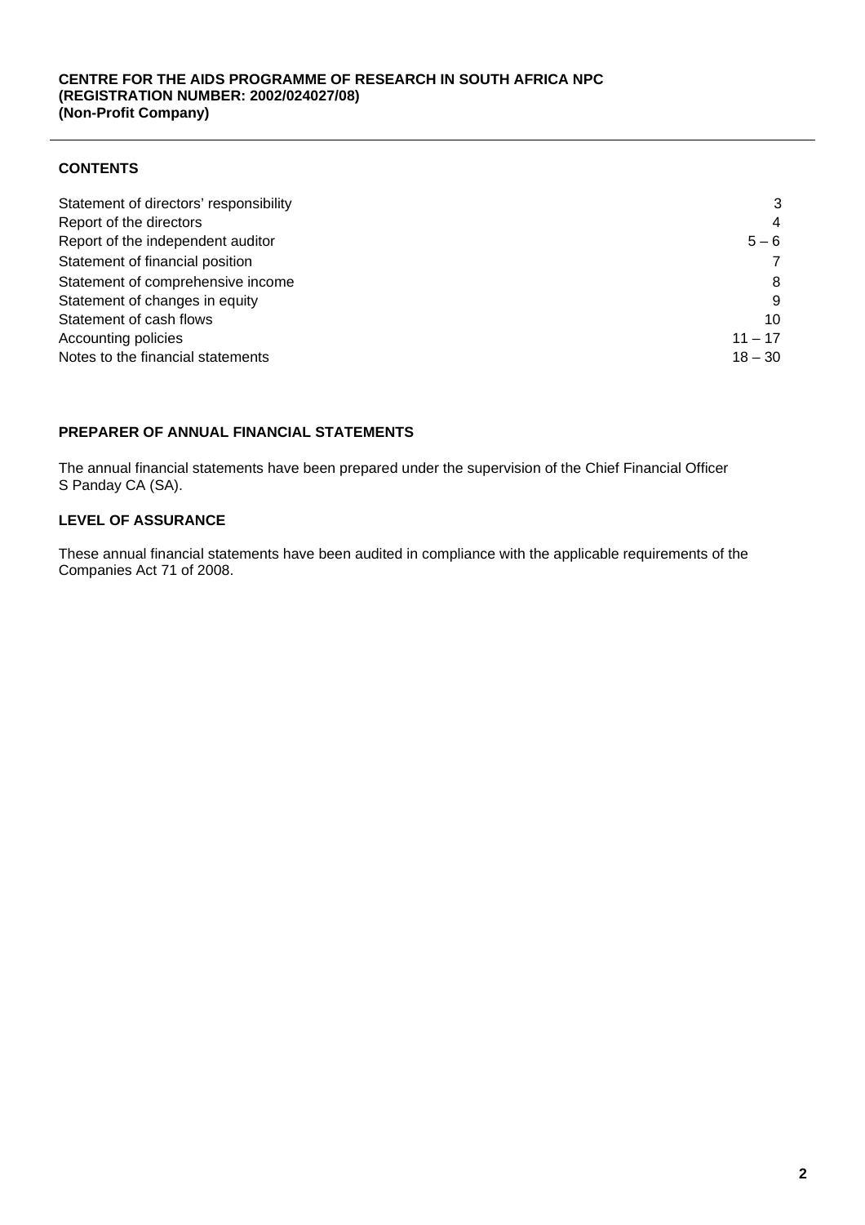# **CONTENTS**

| Statement of directors' responsibility |           |
|----------------------------------------|-----------|
| Report of the directors                | 4         |
| Report of the independent auditor      | $5 - 6$   |
| Statement of financial position        |           |
| Statement of comprehensive income      | 8         |
| Statement of changes in equity         | 9         |
| Statement of cash flows                | 10        |
| Accounting policies                    | $11 - 17$ |
| Notes to the financial statements      | $18 - 30$ |

# **PREPARER OF ANNUAL FINANCIAL STATEMENTS**

The annual financial statements have been prepared under the supervision of the Chief Financial Officer S Panday CA (SA).

# **LEVEL OF ASSURANCE**

These annual financial statements have been audited in compliance with the applicable requirements of the Companies Act 71 of 2008.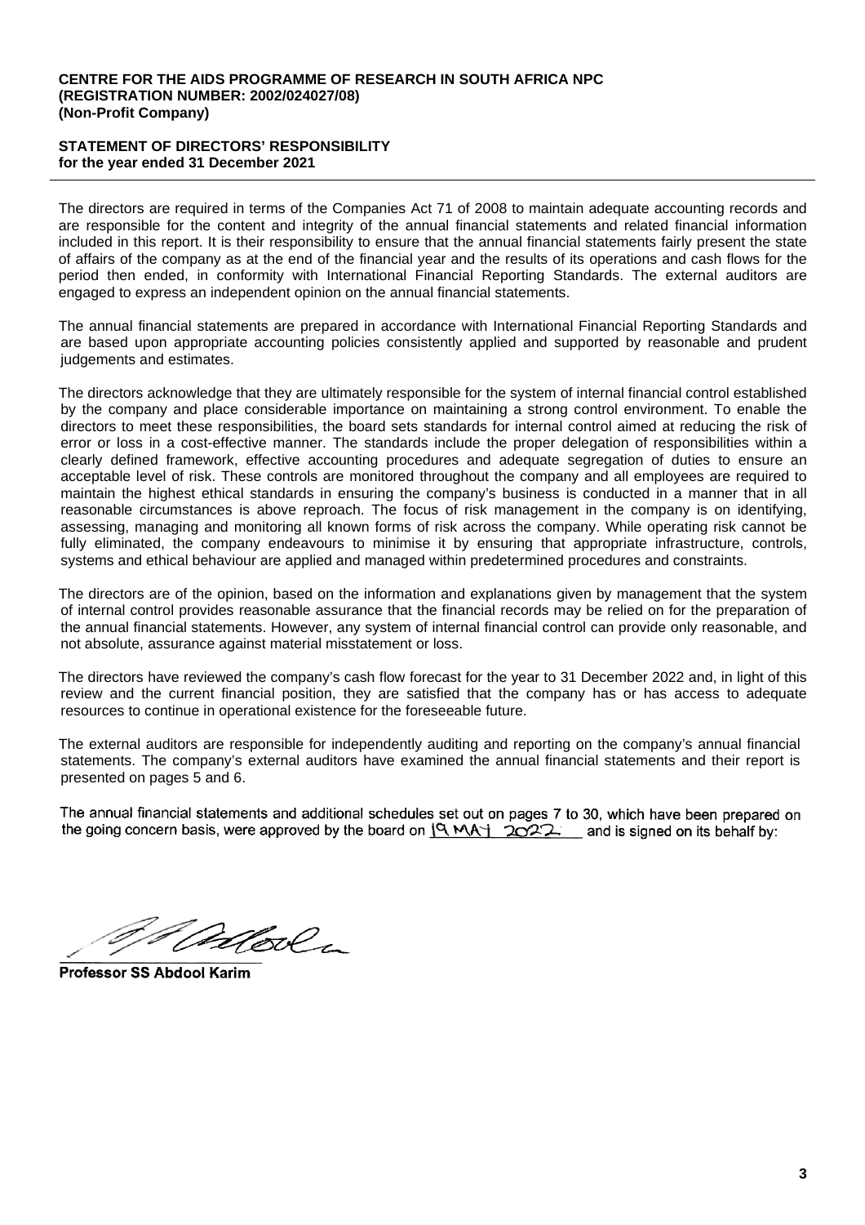### **STATEMENT OF DIRECTORS' RESPONSIBILITY for the year ended 31 December 2021**

The directors are required in terms of the Companies Act 71 of 2008 to maintain adequate accounting records and are responsible for the content and integrity of the annual financial statements and related financial information included in this report. It is their responsibility to ensure that the annual financial statements fairly present the state of affairs of the company as at the end of the financial year and the results of its operations and cash flows for the period then ended, in conformity with International Financial Reporting Standards. The external auditors are engaged to express an independent opinion on the annual financial statements.

The annual financial statements are prepared in accordance with International Financial Reporting Standards and are based upon appropriate accounting policies consistently applied and supported by reasonable and prudent judgements and estimates.

The directors acknowledge that they are ultimately responsible for the system of internal financial control established by the company and place considerable importance on maintaining a strong control environment. To enable the directors to meet these responsibilities, the board sets standards for internal control aimed at reducing the risk of error or loss in a cost-effective manner. The standards include the proper delegation of responsibilities within a clearly defined framework, effective accounting procedures and adequate segregation of duties to ensure an acceptable level of risk. These controls are monitored throughout the company and all employees are required to maintain the highest ethical standards in ensuring the company's business is conducted in a manner that in all reasonable circumstances is above reproach. The focus of risk management in the company is on identifying, assessing, managing and monitoring all known forms of risk across the company. While operating risk cannot be fully eliminated, the company endeavours to minimise it by ensuring that appropriate infrastructure, controls, systems and ethical behaviour are applied and managed within predetermined procedures and constraints.

The directors are of the opinion, based on the information and explanations given by management that the system of internal control provides reasonable assurance that the financial records may be relied on for the preparation of the annual financial statements. However, any system of internal financial control can provide only reasonable, and not absolute, assurance against material misstatement or loss.

The directors have reviewed the company's cash flow forecast for the year to 31 December 2022 and, in light of this review and the current financial position, they are satisfied that the company has or has access to adequate resources to continue in operational existence for the foreseeable future.

The external auditors are responsible for independently auditing and reporting on the company's annual financial statements. The company's external auditors have examined the annual financial statements and their report is presented on pages 5 and 6.

The annual financial statements and additional schedules set out on pages 7 to 30, which have been prepared on the going concern basis, were approved by the board on  $19 MAY$  2022 and is signed on its behalf by:

Molen

**Professor SS Abdool Karim**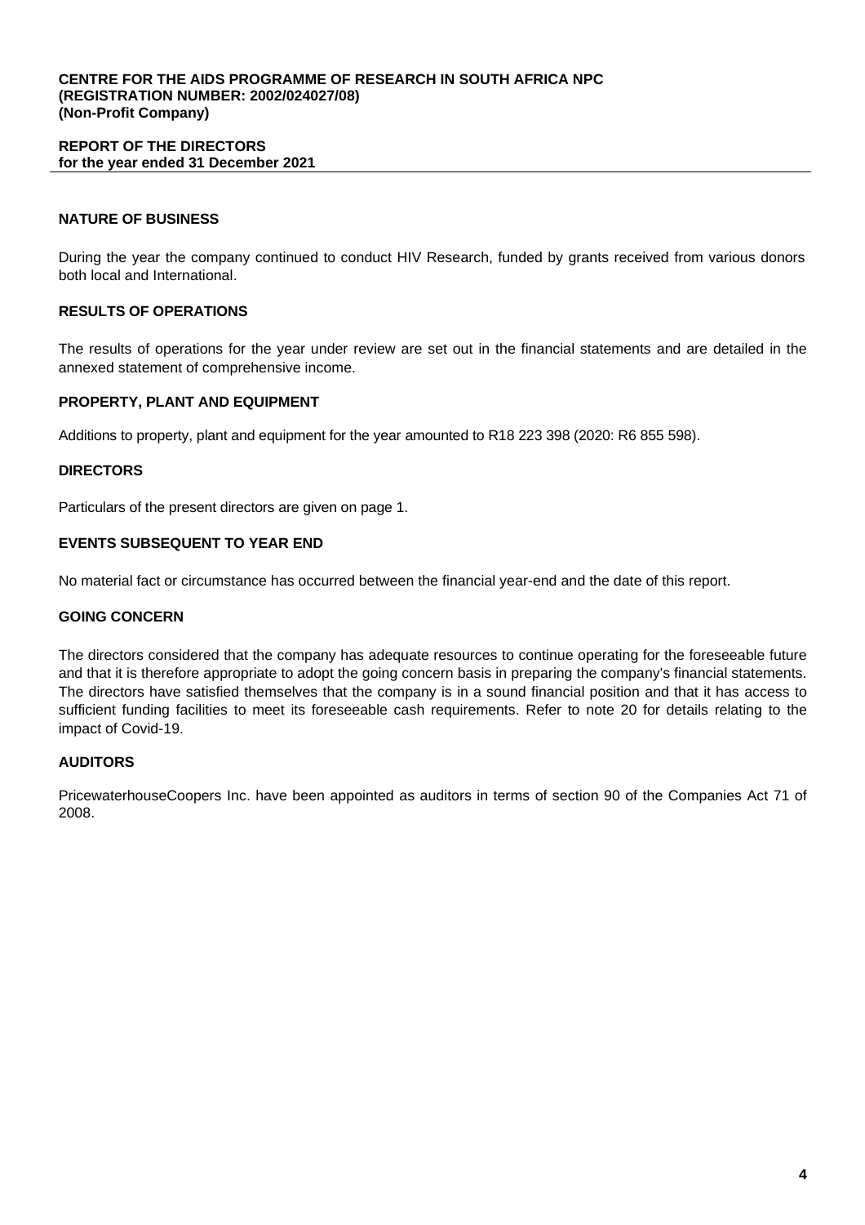### **REPORT OF THE DIRECTORS for the year ended 31 December 2021**

# **NATURE OF BUSINESS**

During the year the company continued to conduct HIV Research, funded by grants received from various donors both local and International.

# **RESULTS OF OPERATIONS**

The results of operations for the year under review are set out in the financial statements and are detailed in the annexed statement of comprehensive income.

# **PROPERTY, PLANT AND EQUIPMENT**

Additions to property, plant and equipment for the year amounted to R18 223 398 (2020: R6 855 598).

# **DIRECTORS**

Particulars of the present directors are given on page 1.

# **EVENTS SUBSEQUENT TO YEAR END**

No material fact or circumstance has occurred between the financial year-end and the date of this report.

# **GOING CONCERN**

The directors considered that the company has adequate resources to continue operating for the foreseeable future and that it is therefore appropriate to adopt the going concern basis in preparing the company's financial statements. The directors have satisfied themselves that the company is in a sound financial position and that it has access to sufficient funding facilities to meet its foreseeable cash requirements. Refer to note 20 for details relating to the impact of Covid-19.

# **AUDITORS**

PricewaterhouseCoopers Inc. have been appointed as auditors in terms of section 90 of the Companies Act 71 of 2008.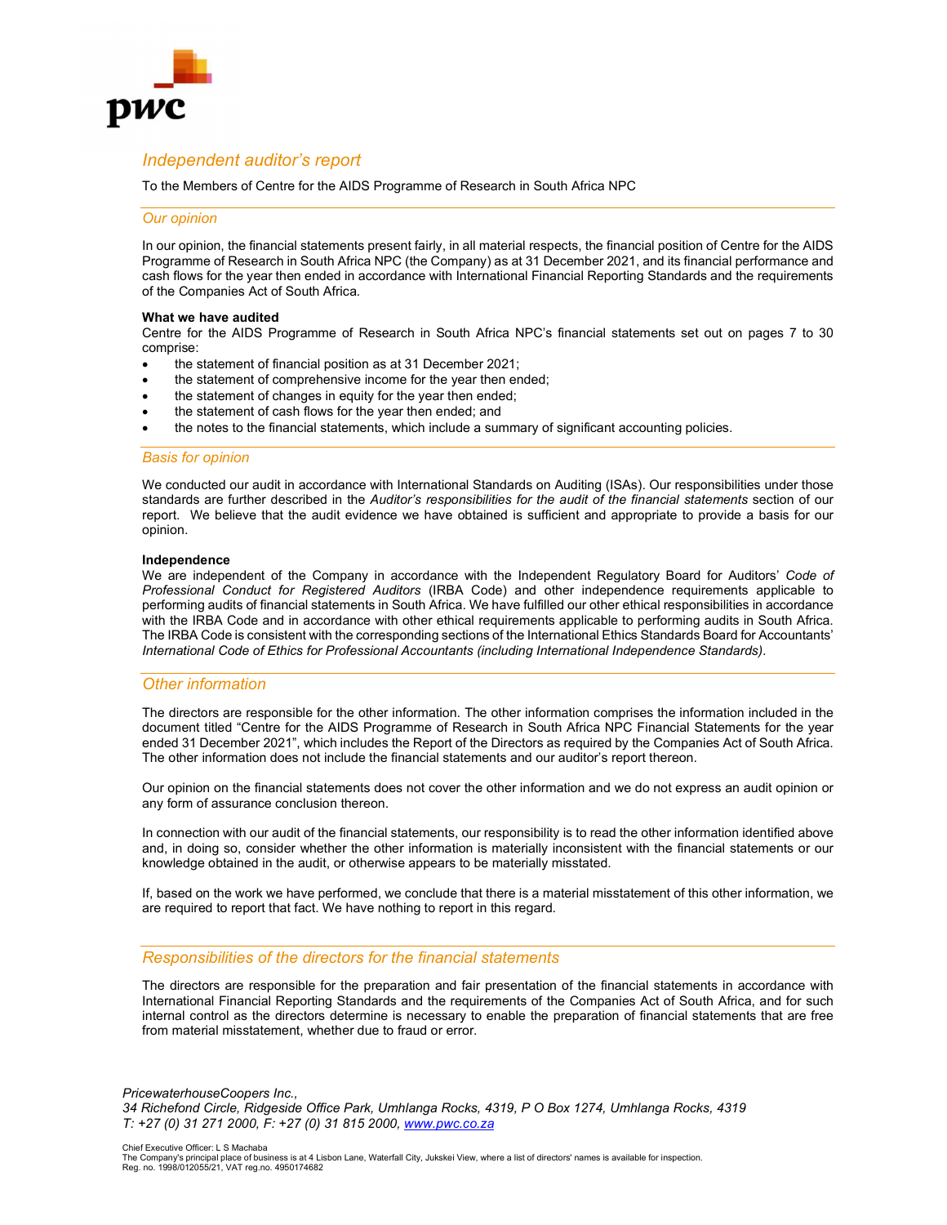

# Independent auditor's report

To the Members of Centre for the AIDS Programme of Research in South Africa NPC

#### Our opinion

In our opinion, the financial statements present fairly, in all material respects, the financial position of Centre for the AIDS Programme of Research in South Africa NPC (the Company) as at 31 December 2021, and its financial performance and cash flows for the year then ended in accordance with International Financial Reporting Standards and the requirements of the Companies Act of South Africa.

#### What we have audited

Centre for the AIDS Programme of Research in South Africa NPC's financial statements set out on pages 7 to 30 comprise:

- the statement of financial position as at 31 December 2021;
- the statement of comprehensive income for the year then ended;
- the statement of changes in equity for the year then ended;
- the statement of cash flows for the year then ended; and
- the notes to the financial statements, which include a summary of significant accounting policies.

#### Basis for opinion

We conducted our audit in accordance with International Standards on Auditing (ISAs). Our responsibilities under those standards are further described in the Auditor's responsibilities for the audit of the financial statements section of our report. We believe that the audit evidence we have obtained is sufficient and appropriate to provide a basis for our opinion.

#### Independence

We are independent of the Company in accordance with the Independent Regulatory Board for Auditors' Code of Professional Conduct for Registered Auditors (IRBA Code) and other independence requirements applicable to performing audits of financial statements in South Africa. We have fulfilled our other ethical responsibilities in accordance with the IRBA Code and in accordance with other ethical requirements applicable to performing audits in South Africa. The IRBA Code is consistent with the corresponding sections of the International Ethics Standards Board for Accountants' International Code of Ethics for Professional Accountants (including International Independence Standards).

#### Other information

The directors are responsible for the other information. The other information comprises the information included in the document titled "Centre for the AIDS Programme of Research in South Africa NPC Financial Statements for the year ended 31 December 2021", which includes the Report of the Directors as required by the Companies Act of South Africa. The other information does not include the financial statements and our auditor's report thereon.

Our opinion on the financial statements does not cover the other information and we do not express an audit opinion or any form of assurance conclusion thereon.

In connection with our audit of the financial statements, our responsibility is to read the other information identified above and, in doing so, consider whether the other information is materially inconsistent with the financial statements or our knowledge obtained in the audit, or otherwise appears to be materially misstated.

If, based on the work we have performed, we conclude that there is a material misstatement of this other information, we are required to report that fact. We have nothing to report in this regard.

#### Responsibilities of the directors for the financial statements

The directors are responsible for the preparation and fair presentation of the financial statements in accordance with International Financial Reporting Standards and the requirements of the Companies Act of South Africa, and for such internal control as the directors determine is necessary to enable the preparation of financial statements that are free from material misstatement, whether due to fraud or error.

PricewaterhouseCoopers Inc., 34 Richefond Circle, Ridgeside Office Park, Umhlanga Rocks, 4319, P O Box 1274, Umhlanga Rocks, 4319 T: +27 (0) 31 271 2000, F: +27 (0) 31 815 2000, www.pwc.co.za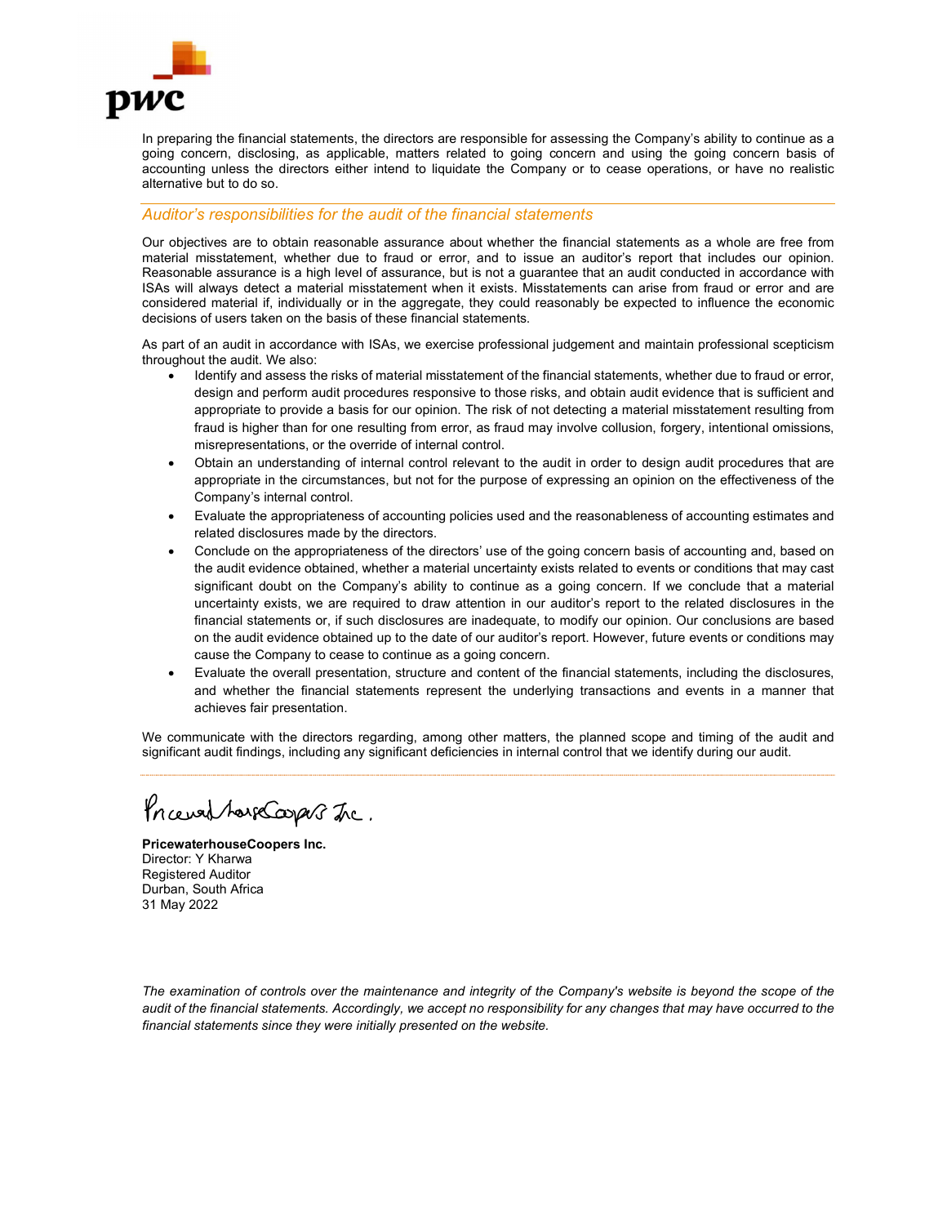

In preparing the financial statements, the directors are responsible for assessing the Company's ability to continue as a going concern, disclosing, as applicable, matters related to going concern and using the going concern basis of accounting unless the directors either intend to liquidate the Company or to cease operations, or have no realistic alternative but to do so.

#### Auditor's responsibilities for the audit of the financial statements

Our objectives are to obtain reasonable assurance about whether the financial statements as a whole are free from material misstatement, whether due to fraud or error, and to issue an auditor's report that includes our opinion. Reasonable assurance is a high level of assurance, but is not a guarantee that an audit conducted in accordance with ISAs will always detect a material misstatement when it exists. Misstatements can arise from fraud or error and are considered material if, individually or in the aggregate, they could reasonably be expected to influence the economic

decisions of users taken on the basis of these financial statements.<br>As part of an audit in accordance with ISAs, we exercise professional judgement and maintain professional scepticism throughout the audit. We also:

- Identify and assess the risks of material misstatement of the financial statements, whether due to fraud or error, design and perform audit procedures responsive to those risks, and obtain audit evidence that is sufficient and appropriate to provide a basis for our opinion. The risk of not detecting a material misstatement resulting from fraud is higher than for one resulting from error, as fraud may involve collusion, forgery, intentional omissions, misrepresentations, or the override of internal control.
- Obtain an understanding of internal control relevant to the audit in order to design audit procedures that are appropriate in the circumstances, but not for the purpose of expressing an opinion on the effectiveness of the Company's internal control.
- Evaluate the appropriateness of accounting policies used and the reasonableness of accounting estimates and related disclosures made by the directors.
- Conclude on the appropriateness of the directors' use of the going concern basis of accounting and, based on the audit evidence obtained, whether a material uncertainty exists related to events or conditions that may cast significant doubt on the Company's ability to continue as a going concern. If we conclude that a material uncertainty exists, we are required to draw attention in our auditor's report to the related disclosures in the financial statements or, if such disclosures are inadequate, to modify our opinion. Our conclusions are based on the audit evidence obtained up to the date of our auditor's report. However, future events or conditions may cause the Company to cease to continue as a going concern.
- Evaluate the overall presentation, structure and content of the financial statements, including the disclosures, and whether the financial statements represent the underlying transactions and events in a manner that achieves fair presentation.

We communicate with the directors regarding, among other matters, the planned scope and timing of the audit and significant audit findings, including any significant deficiencies in internal control that we identify during our audit.

Processed torse Coopers The.

PricewaterhouseCoopers Inc. Director: Y Kharwa Registered Auditor Durban, South Africa 31 May 2022

The examination of controls over the maintenance and integrity of the Company's website is beyond the scope of the audit of the financial statements. Accordingly, we accept no responsibility for any changes that may have occurred to the financial statements since they were initially presented on the website.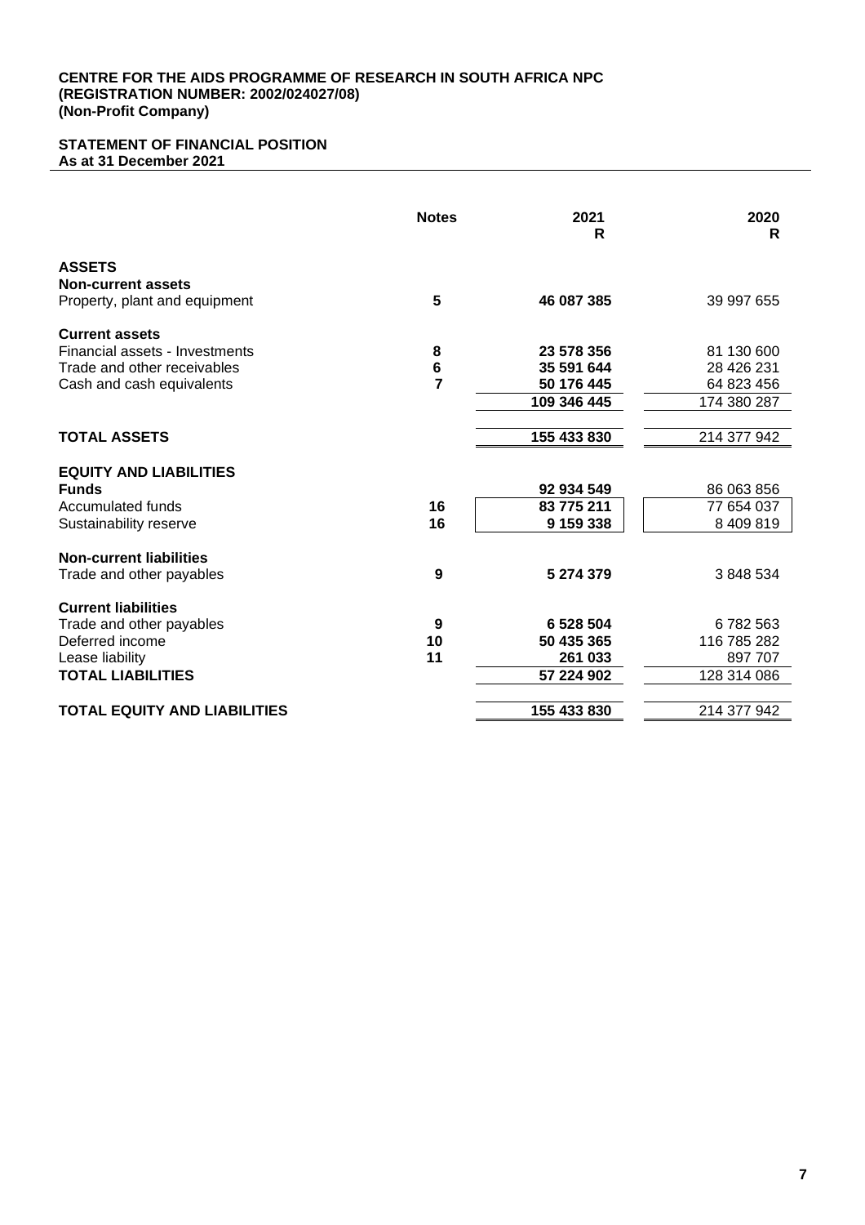# **STATEMENT OF FINANCIAL POSITION As at 31 December 2021**

|                                                                                                                          | <b>Notes</b>             | 2021<br>R                                             | 2020<br>R                                             |
|--------------------------------------------------------------------------------------------------------------------------|--------------------------|-------------------------------------------------------|-------------------------------------------------------|
| <b>ASSETS</b><br><b>Non-current assets</b><br>Property, plant and equipment                                              | 5                        | 46 087 385                                            | 39 997 655                                            |
| <b>Current assets</b><br>Financial assets - Investments<br>Trade and other receivables<br>Cash and cash equivalents      | 8<br>6<br>$\overline{7}$ | 23 578 356<br>35 591 644<br>50 176 445<br>109 346 445 | 81 130 600<br>28 426 231<br>64 823 456<br>174 380 287 |
| <b>TOTAL ASSETS</b>                                                                                                      |                          | 155 433 830                                           | 214 377 942                                           |
| <b>EQUITY AND LIABILITIES</b><br><b>Funds</b><br><b>Accumulated funds</b><br>Sustainability reserve                      | 16<br>16                 | 92 934 549<br>83 775 211<br>9 159 338                 | 86 063 856<br>77 654 037<br>8 409 819                 |
| <b>Non-current liabilities</b><br>Trade and other payables                                                               | 9                        | 5 274 379                                             | 3 848 534                                             |
| <b>Current liabilities</b><br>Trade and other payables<br>Deferred income<br>Lease liability<br><b>TOTAL LIABILITIES</b> | 9<br>10<br>11            | 6 528 504<br>50 435 365<br>261 033<br>57 224 902      | 6782563<br>116 785 282<br>897 707<br>128 314 086      |
| <b>TOTAL EQUITY AND LIABILITIES</b>                                                                                      |                          | 155 433 830                                           | 214 377 942                                           |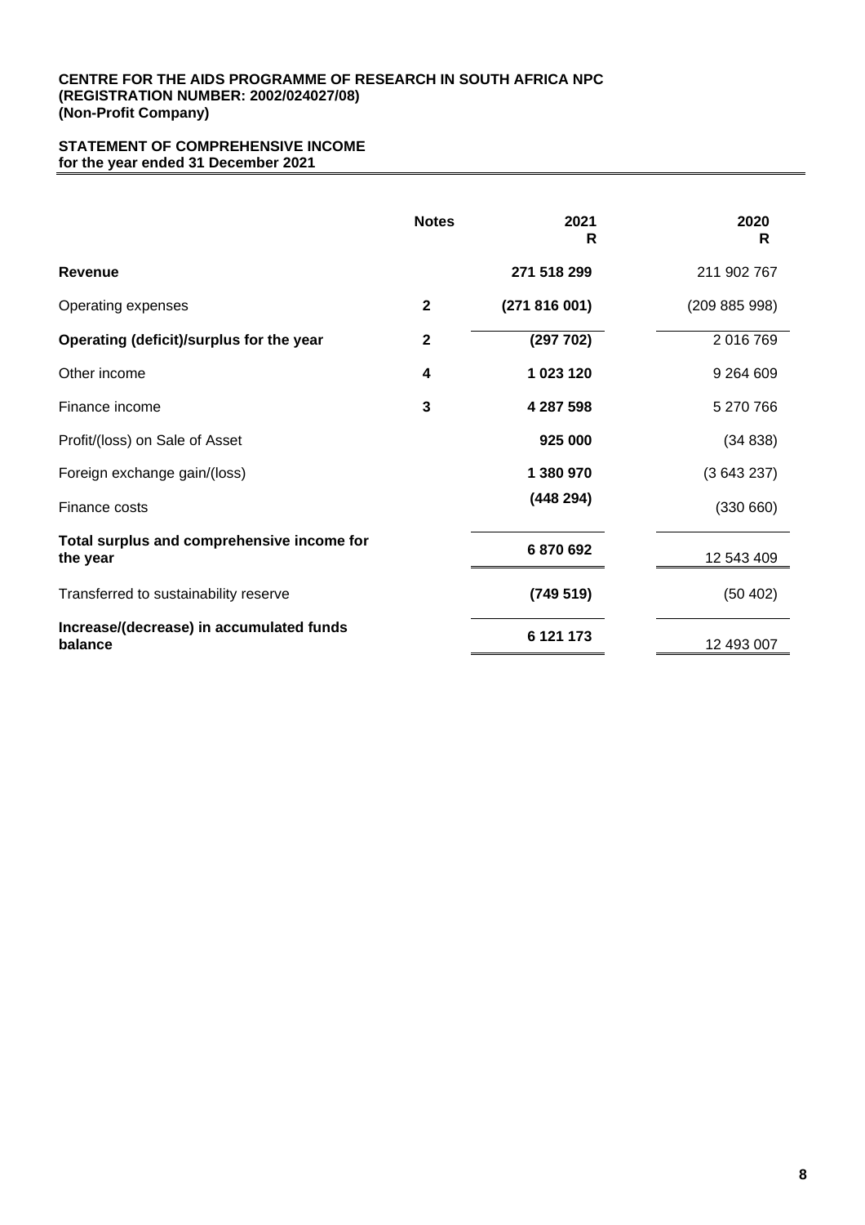### **STATEMENT OF COMPREHENSIVE INCOME for the year ended 31 December 2021**

|                                                        | <b>Notes</b>   | 2021<br>R   | 2020<br>R     |
|--------------------------------------------------------|----------------|-------------|---------------|
| Revenue                                                |                | 271 518 299 | 211 902 767   |
| Operating expenses                                     | $\mathbf{2}$   | (271816001) | (209 885 998) |
| Operating (deficit)/surplus for the year               | $\overline{2}$ | (297702)    | 2 016 769     |
| Other income                                           | 4              | 1 023 120   | 9 2 64 6 0 9  |
| Finance income                                         | 3              | 4 287 598   | 5 270 766     |
| Profit/(loss) on Sale of Asset                         |                | 925 000     | (34 838)      |
| Foreign exchange gain/(loss)                           |                | 1 380 970   | (3643237)     |
| Finance costs                                          |                | (448 294)   | (330660)      |
| Total surplus and comprehensive income for<br>the year |                | 6870692     | 12 543 409    |
| Transferred to sustainability reserve                  |                | (749519)    | (50 402)      |
| Increase/(decrease) in accumulated funds<br>balance    |                | 6 121 173   | 12 493 007    |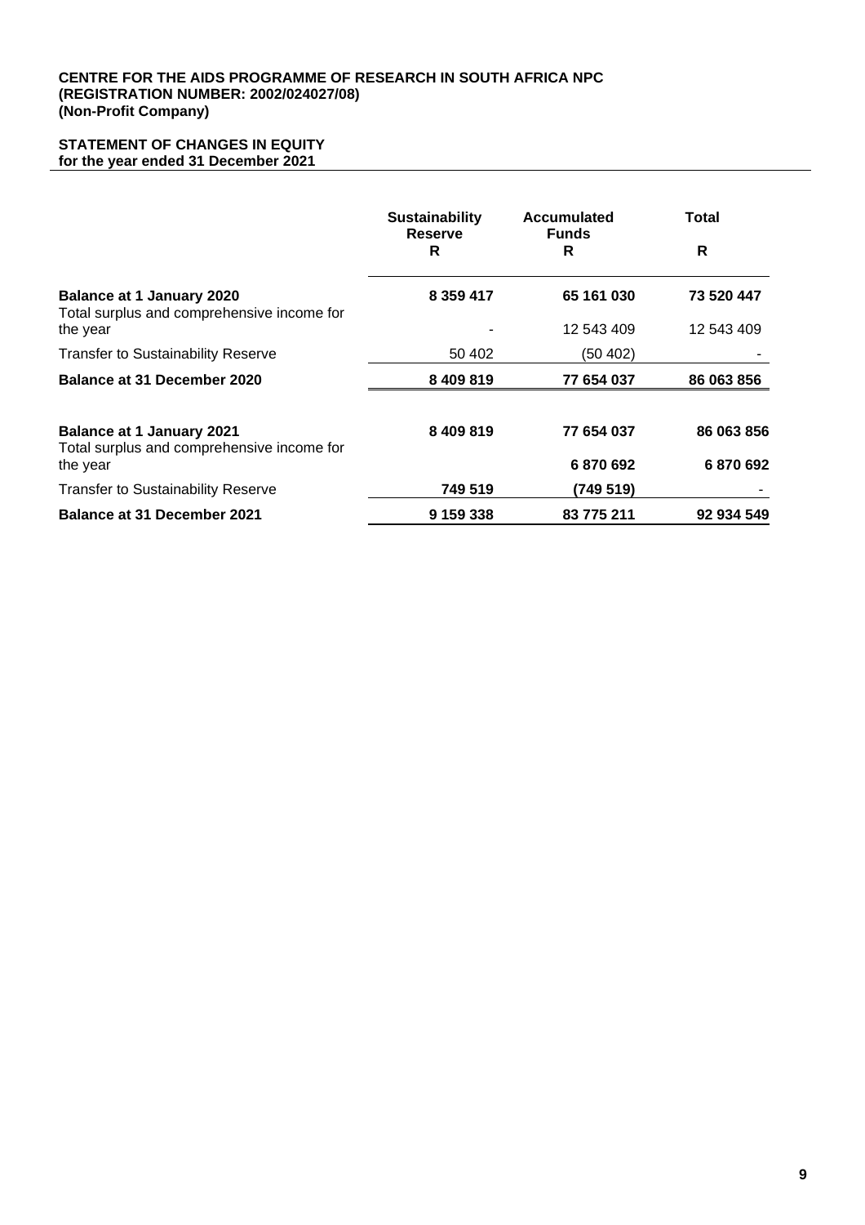# **STATEMENT OF CHANGES IN EQUITY**

**for the year ended 31 December 2021**

|                                                                                | <b>Sustainability</b><br><b>Reserve</b> | <b>Accumulated</b><br><b>Funds</b> | Total      |
|--------------------------------------------------------------------------------|-----------------------------------------|------------------------------------|------------|
|                                                                                | R                                       | R                                  | R          |
| <b>Balance at 1 January 2020</b><br>Total surplus and comprehensive income for | 8 3 5 9 4 1 7                           | 65 161 030                         | 73 520 447 |
| the year                                                                       |                                         | 12 543 409                         | 12 543 409 |
| <b>Transfer to Sustainability Reserve</b>                                      | 50 402                                  | (50 402)                           |            |
| <b>Balance at 31 December 2020</b>                                             | 8 409 819                               | 77 654 037                         | 86 063 856 |
| <b>Balance at 1 January 2021</b><br>Total surplus and comprehensive income for | 8 409 819                               | 77 654 037                         | 86 063 856 |
| the year                                                                       |                                         | 6870692                            | 6870692    |
| <b>Transfer to Sustainability Reserve</b>                                      | 749 519                                 | (749 519)                          |            |
| <b>Balance at 31 December 2021</b>                                             | 9 159 338                               | 83 775 211                         | 92 934 549 |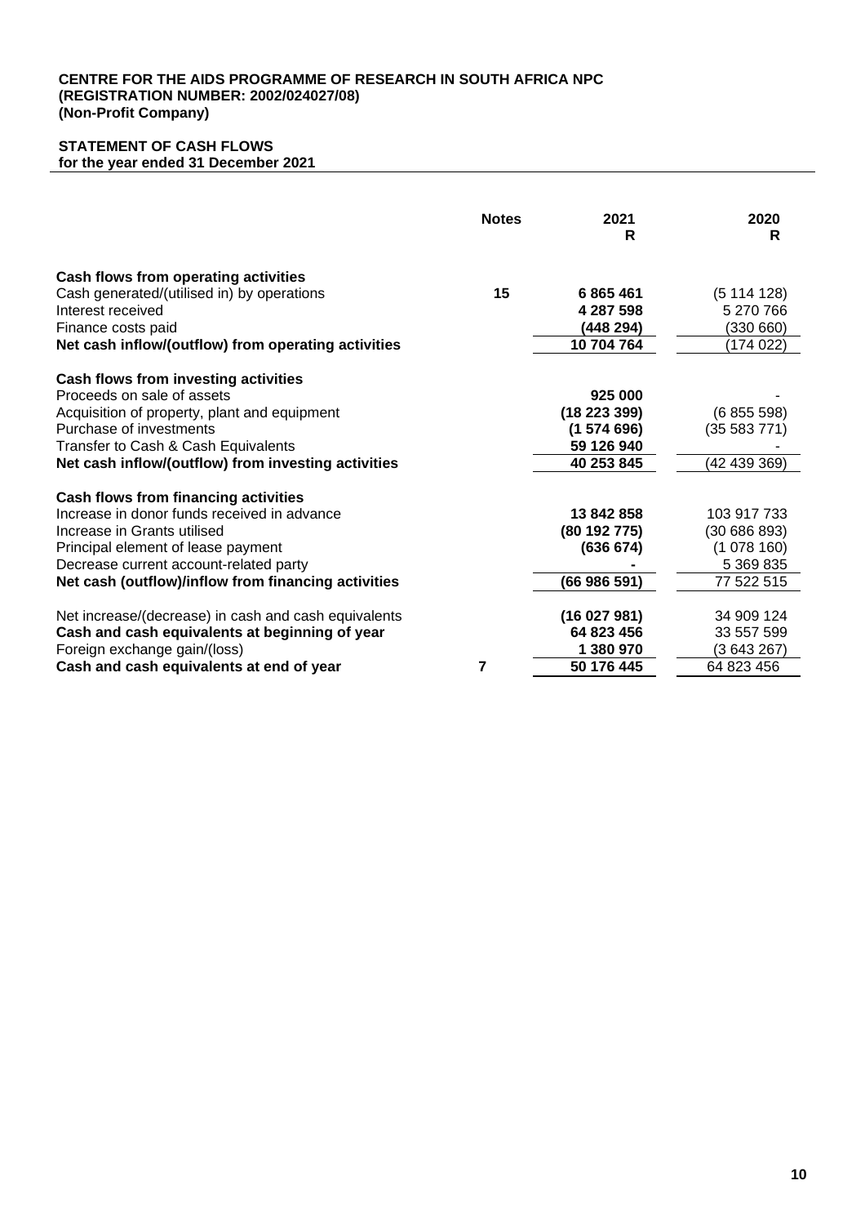### **STATEMENT OF CASH FLOWS for the year ended 31 December 2021**

|                                                                 | <b>Notes</b> | 2021<br>R            | 2020<br>R.             |
|-----------------------------------------------------------------|--------------|----------------------|------------------------|
| Cash flows from operating activities                            |              |                      |                        |
| Cash generated/(utilised in) by operations<br>Interest received | 15           | 6865461<br>4 287 598 | (5114128)<br>5 270 766 |
| Finance costs paid                                              |              | (448 294)            | (330660)               |
| Net cash inflow/(outflow) from operating activities             |              | 10 704 764           | (174022)               |
|                                                                 |              |                      |                        |
| <b>Cash flows from investing activities</b>                     |              |                      |                        |
| Proceeds on sale of assets                                      |              | 925 000              |                        |
| Acquisition of property, plant and equipment                    |              | (18223399)           | (6855598)              |
| Purchase of investments                                         |              | (1574696)            | (35583771)             |
| Transfer to Cash & Cash Equivalents                             |              | 59 126 940           |                        |
| Net cash inflow/(outflow) from investing activities             |              | 40 253 845           | (42 439 369)           |
| Cash flows from financing activities                            |              |                      |                        |
| Increase in donor funds received in advance                     |              | 13 842 858           | 103 917 733            |
| Increase in Grants utilised                                     |              | (80 192 775)         | (30686893)             |
| Principal element of lease payment                              |              | (636 674)            | (1078160)              |
| Decrease current account-related party                          |              |                      | 5 369 835              |
| Net cash (outflow)/inflow from financing activities             |              | (66 986 591)         | 77 522 515             |
|                                                                 |              |                      |                        |
| Net increase/(decrease) in cash and cash equivalents            |              | (16027981)           | 34 909 124             |
| Cash and cash equivalents at beginning of year                  |              | 64 823 456           | 33 557 599             |
| Foreign exchange gain/(loss)                                    | 7            | 1 380 970            | (3643267)              |
| Cash and cash equivalents at end of year                        |              | 50 176 445           | 64 823 456             |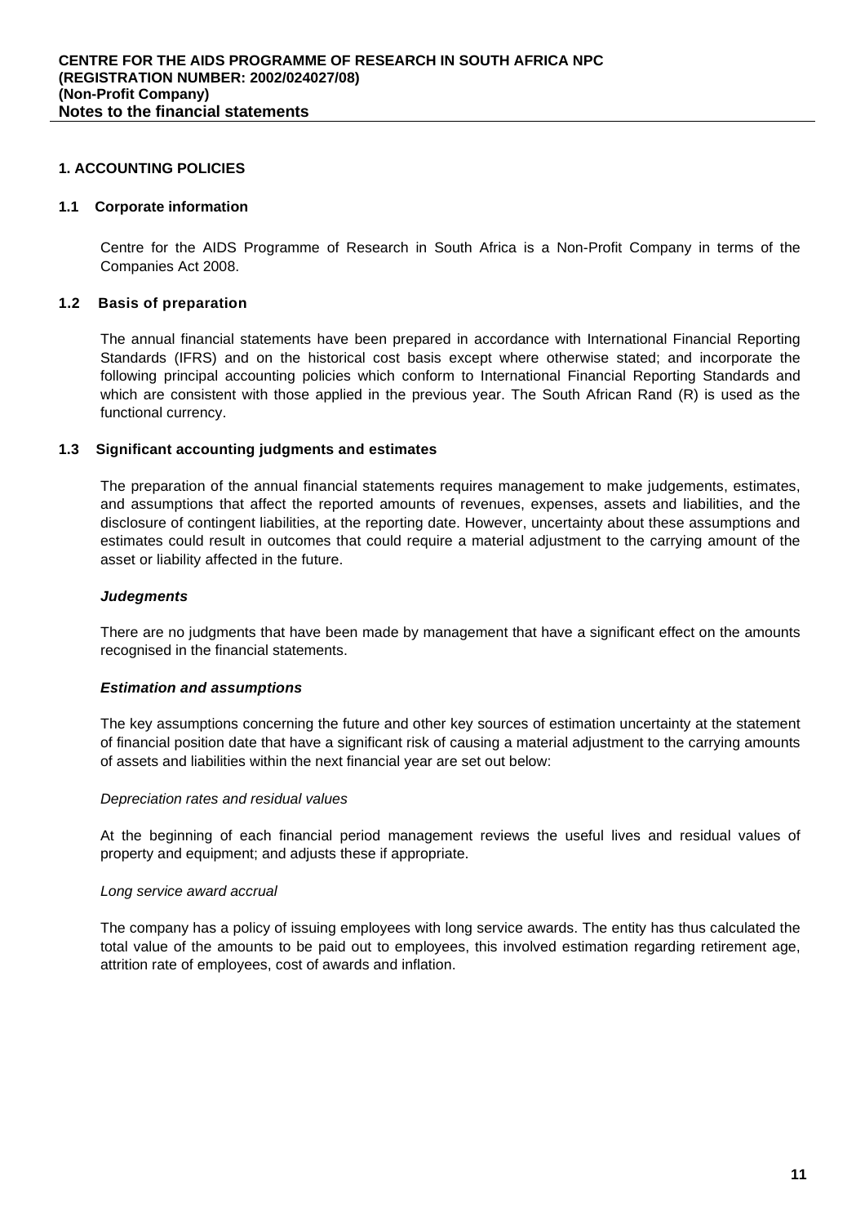# **1. ACCOUNTING POLICIES**

### **1.1 Corporate information**

Centre for the AIDS Programme of Research in South Africa is a Non-Profit Company in terms of the Companies Act 2008.

### **1.2 Basis of preparation**

The annual financial statements have been prepared in accordance with International Financial Reporting Standards (IFRS) and on the historical cost basis except where otherwise stated; and incorporate the following principal accounting policies which conform to International Financial Reporting Standards and which are consistent with those applied in the previous year. The South African Rand (R) is used as the functional currency.

### **1.3 Significant accounting judgments and estimates**

The preparation of the annual financial statements requires management to make judgements, estimates, and assumptions that affect the reported amounts of revenues, expenses, assets and liabilities, and the disclosure of contingent liabilities, at the reporting date. However, uncertainty about these assumptions and estimates could result in outcomes that could require a material adjustment to the carrying amount of the asset or liability affected in the future.

### *Judegments*

There are no judgments that have been made by management that have a significant effect on the amounts recognised in the financial statements.

### *Estimation and assumptions*

The key assumptions concerning the future and other key sources of estimation uncertainty at the statement of financial position date that have a significant risk of causing a material adjustment to the carrying amounts of assets and liabilities within the next financial year are set out below:

#### *Depreciation rates and residual values*

At the beginning of each financial period management reviews the useful lives and residual values of property and equipment; and adjusts these if appropriate.

### *Long service award accrual*

The company has a policy of issuing employees with long service awards. The entity has thus calculated the total value of the amounts to be paid out to employees, this involved estimation regarding retirement age, attrition rate of employees, cost of awards and inflation.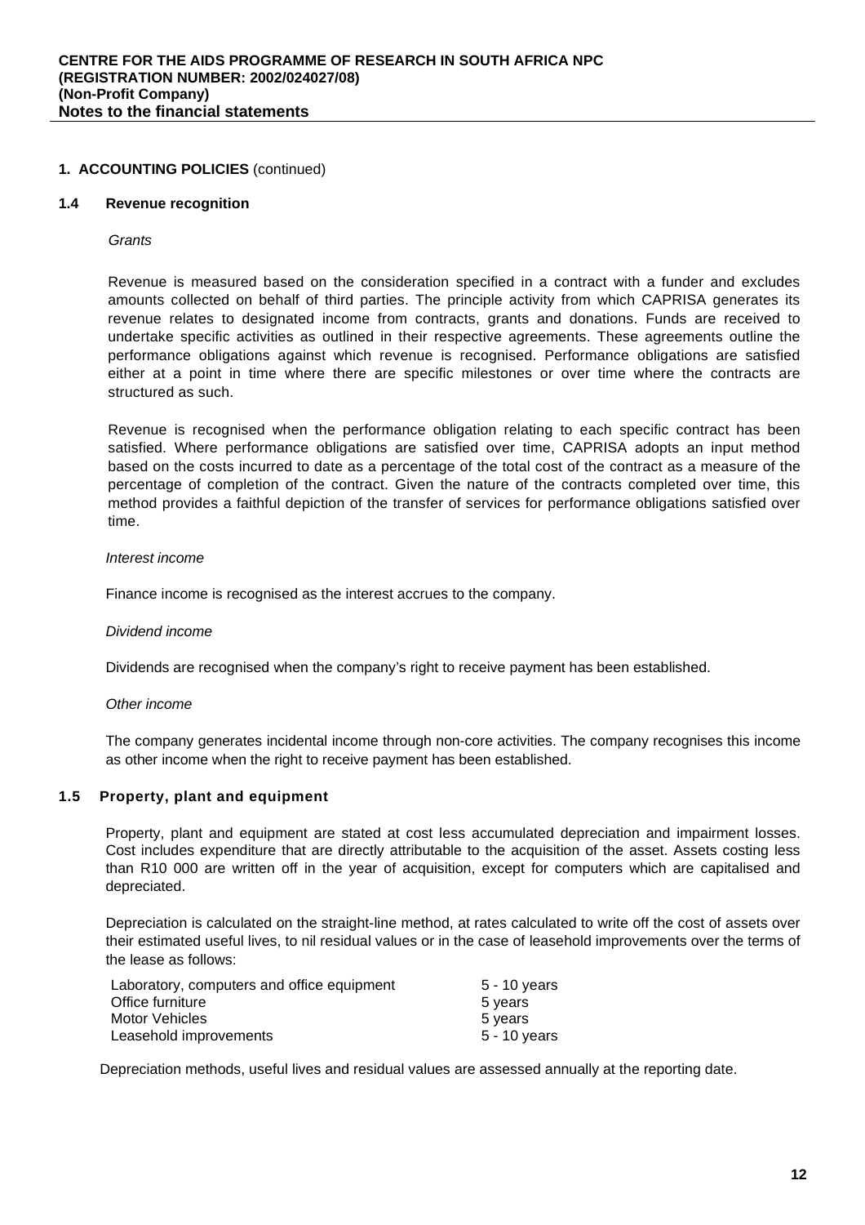### **1.4 Revenue recognition**

*Grants*

Revenue is measured based on the consideration specified in a contract with a funder and excludes amounts collected on behalf of third parties. The principle activity from which CAPRISA generates its revenue relates to designated income from contracts, grants and donations. Funds are received to undertake specific activities as outlined in their respective agreements. These agreements outline the performance obligations against which revenue is recognised. Performance obligations are satisfied either at a point in time where there are specific milestones or over time where the contracts are structured as such.

Revenue is recognised when the performance obligation relating to each specific contract has been satisfied. Where performance obligations are satisfied over time, CAPRISA adopts an input method based on the costs incurred to date as a percentage of the total cost of the contract as a measure of the percentage of completion of the contract. Given the nature of the contracts completed over time, this method provides a faithful depiction of the transfer of services for performance obligations satisfied over time.

### *Interest income*

Finance income is recognised as the interest accrues to the company.

### *Dividend income*

Dividends are recognised when the company's right to receive payment has been established.

### *Other income*

The company generates incidental income through non-core activities. The company recognises this income as other income when the right to receive payment has been established.

### **1.5 Property, plant and equipment**

Property, plant and equipment are stated at cost less accumulated depreciation and impairment losses. Cost includes expenditure that are directly attributable to the acquisition of the asset. Assets costing less than R10 000 are written off in the year of acquisition, except for computers which are capitalised and depreciated.

Depreciation is calculated on the straight-line method, at rates calculated to write off the cost of assets over their estimated useful lives, to nil residual values or in the case of leasehold improvements over the terms of the lease as follows:

| Laboratory, computers and office equipment | 5 - 10 years   |
|--------------------------------------------|----------------|
| Office furniture                           | 5 years        |
| Motor Vehicles                             | 5 years        |
| Leasehold improvements                     | $5 - 10$ years |

Depreciation methods, useful lives and residual values are assessed annually at the reporting date.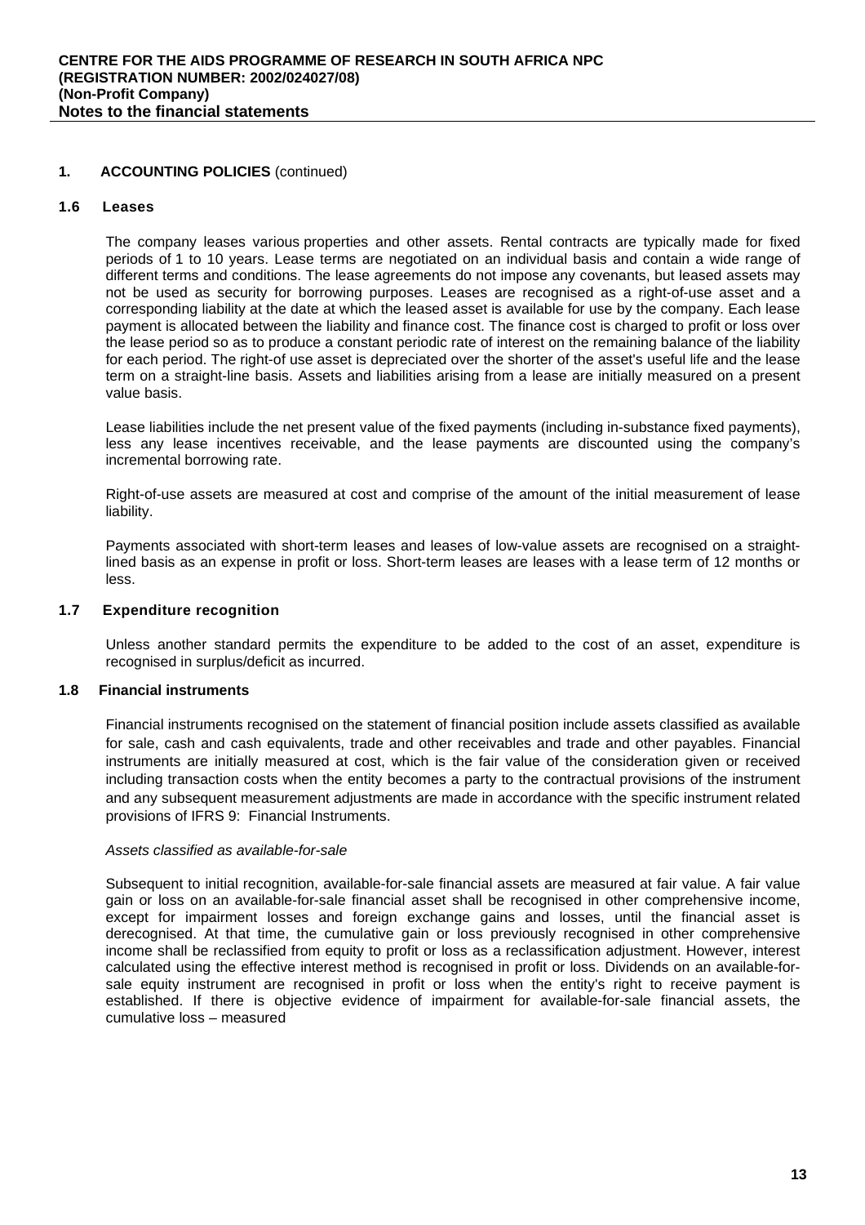### **1.6 Leases**

The company leases various properties and other assets. Rental contracts are typically made for fixed periods of 1 to 10 years. Lease terms are negotiated on an individual basis and contain a wide range of different terms and conditions. The lease agreements do not impose any covenants, but leased assets may not be used as security for borrowing purposes. Leases are recognised as a right-of-use asset and a corresponding liability at the date at which the leased asset is available for use by the company. Each lease payment is allocated between the liability and finance cost. The finance cost is charged to profit or loss over the lease period so as to produce a constant periodic rate of interest on the remaining balance of the liability for each period. The right-of use asset is depreciated over the shorter of the asset's useful life and the lease term on a straight-line basis. Assets and liabilities arising from a lease are initially measured on a present value basis.

Lease liabilities include the net present value of the fixed payments (including in-substance fixed payments), less any lease incentives receivable, and the lease payments are discounted using the company's incremental borrowing rate.

Right-of-use assets are measured at cost and comprise of the amount of the initial measurement of lease liability.

Payments associated with short-term leases and leases of low-value assets are recognised on a straightlined basis as an expense in profit or loss. Short-term leases are leases with a lease term of 12 months or less.

### **1.7 Expenditure recognition**

Unless another standard permits the expenditure to be added to the cost of an asset, expenditure is recognised in surplus/deficit as incurred.

### **1.8 Financial instruments**

Financial instruments recognised on the statement of financial position include assets classified as available for sale, cash and cash equivalents, trade and other receivables and trade and other payables. Financial instruments are initially measured at cost, which is the fair value of the consideration given or received including transaction costs when the entity becomes a party to the contractual provisions of the instrument and any subsequent measurement adjustments are made in accordance with the specific instrument related provisions of IFRS 9: Financial Instruments.

### *Assets classified as available-for-sale*

Subsequent to initial recognition, available-for-sale financial assets are measured at fair value. A fair value gain or loss on an available-for-sale financial asset shall be recognised in other comprehensive income, except for impairment losses and foreign exchange gains and losses, until the financial asset is derecognised. At that time, the cumulative gain or loss previously recognised in other comprehensive income shall be reclassified from equity to profit or loss as a reclassification adjustment. However, interest calculated using the effective interest method is recognised in profit or loss. Dividends on an available-forsale equity instrument are recognised in profit or loss when the entity's right to receive payment is established. If there is objective evidence of impairment for available-for-sale financial assets, the cumulative loss – measured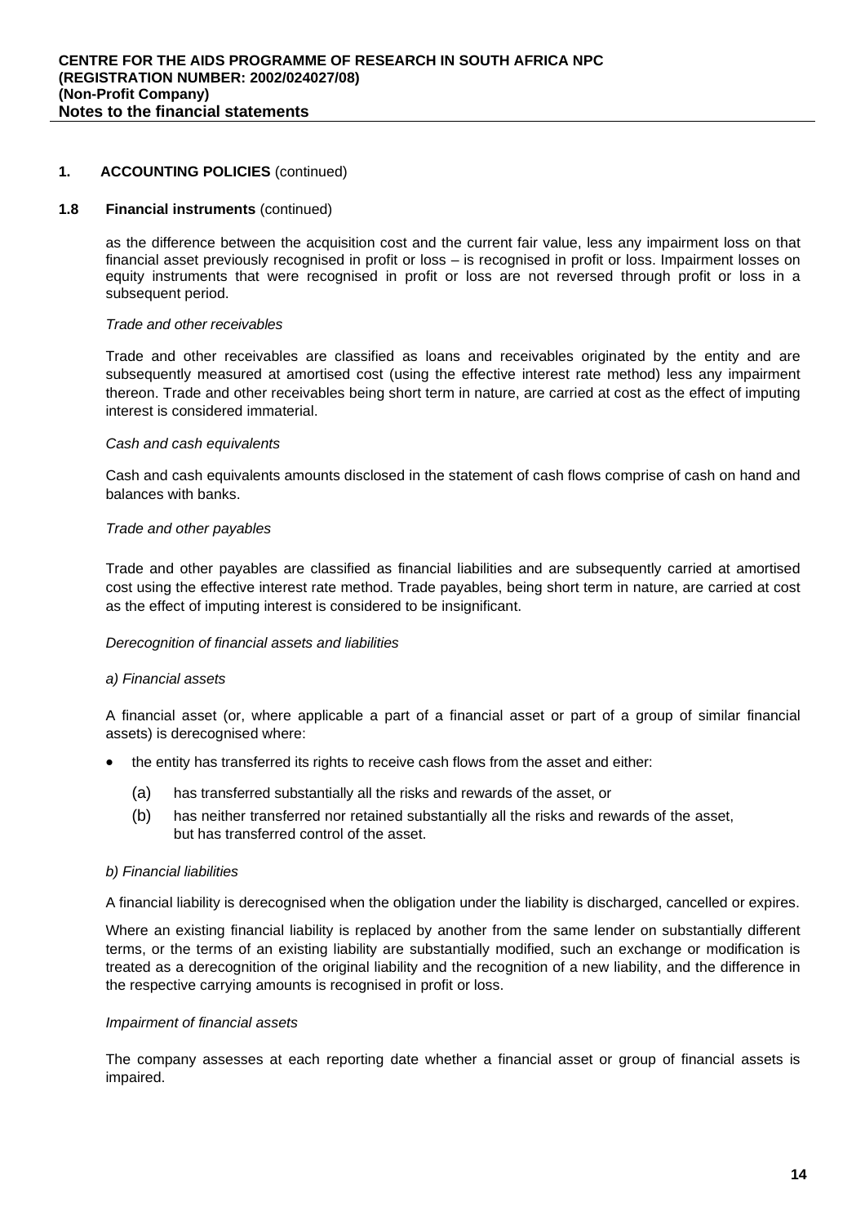### **1.8 Financial instruments** (continued)

as the difference between the acquisition cost and the current fair value, less any impairment loss on that financial asset previously recognised in profit or loss – is recognised in profit or loss. Impairment losses on equity instruments that were recognised in profit or loss are not reversed through profit or loss in a subsequent period.

### *Trade and other receivables*

Trade and other receivables are classified as loans and receivables originated by the entity and are subsequently measured at amortised cost (using the effective interest rate method) less any impairment thereon. Trade and other receivables being short term in nature, are carried at cost as the effect of imputing interest is considered immaterial.

### *Cash and cash equivalents*

Cash and cash equivalents amounts disclosed in the statement of cash flows comprise of cash on hand and balances with banks.

### *Trade and other payables*

Trade and other payables are classified as financial liabilities and are subsequently carried at amortised cost using the effective interest rate method. Trade payables, being short term in nature, are carried at cost as the effect of imputing interest is considered to be insignificant.

### *Derecognition of financial assets and liabilities*

### *a) Financial assets*

A financial asset (or, where applicable a part of a financial asset or part of a group of similar financial assets) is derecognised where:

- the entity has transferred its rights to receive cash flows from the asset and either:
	- (a) has transferred substantially all the risks and rewards of the asset, or
	- (b) has neither transferred nor retained substantially all the risks and rewards of the asset, but has transferred control of the asset.

#### *b) Financial liabilities*

A financial liability is derecognised when the obligation under the liability is discharged, cancelled or expires.

Where an existing financial liability is replaced by another from the same lender on substantially different terms, or the terms of an existing liability are substantially modified, such an exchange or modification is treated as a derecognition of the original liability and the recognition of a new liability, and the difference in the respective carrying amounts is recognised in profit or loss.

#### *Impairment of financial assets*

The company assesses at each reporting date whether a financial asset or group of financial assets is impaired.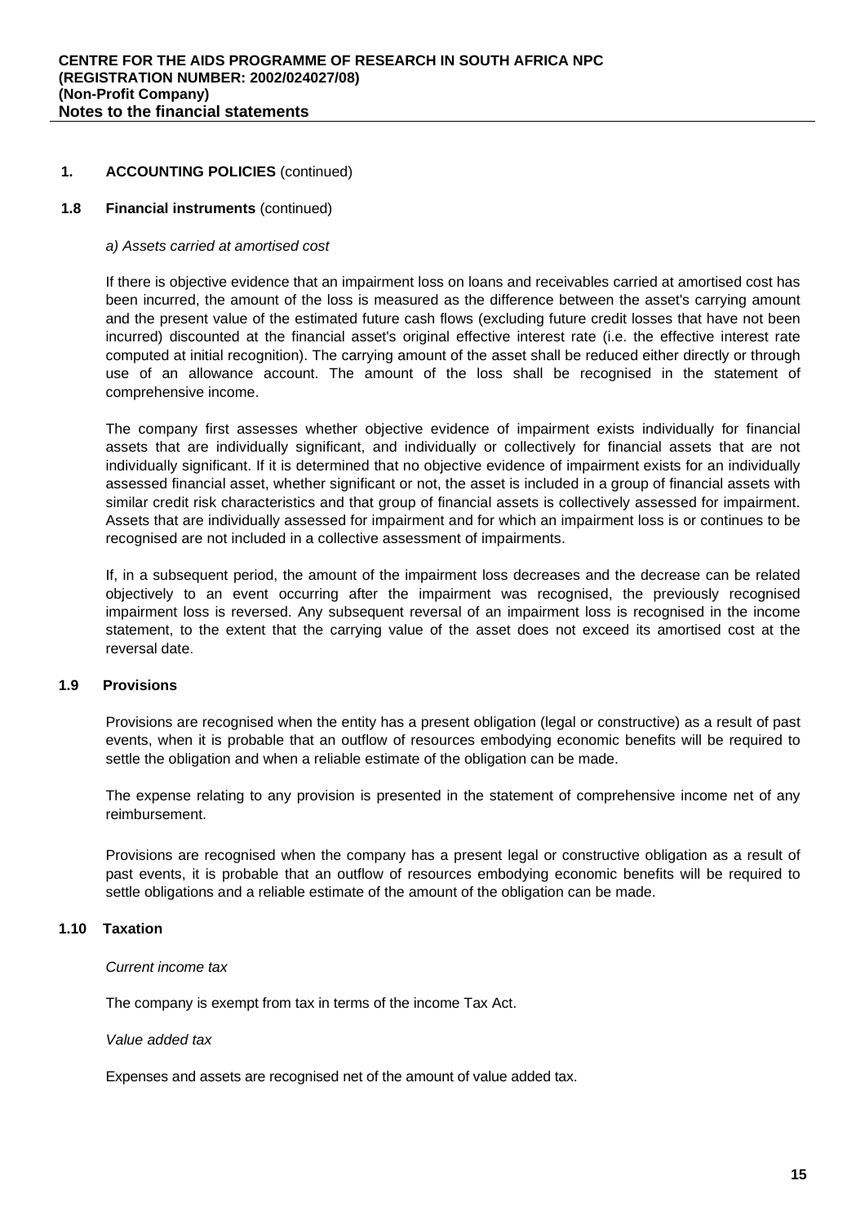### **1.8 Financial instruments** (continued)

### *a) Assets carried at amortised cost*

If there is objective evidence that an impairment loss on loans and receivables carried at amortised cost has been incurred, the amount of the loss is measured as the difference between the asset's carrying amount and the present value of the estimated future cash flows (excluding future credit losses that have not been incurred) discounted at the financial asset's original effective interest rate (i.e. the effective interest rate computed at initial recognition). The carrying amount of the asset shall be reduced either directly or through use of an allowance account. The amount of the loss shall be recognised in the statement of comprehensive income.

The company first assesses whether objective evidence of impairment exists individually for financial assets that are individually significant, and individually or collectively for financial assets that are not individually significant. If it is determined that no objective evidence of impairment exists for an individually assessed financial asset, whether significant or not, the asset is included in a group of financial assets with similar credit risk characteristics and that group of financial assets is collectively assessed for impairment. Assets that are individually assessed for impairment and for which an impairment loss is or continues to be recognised are not included in a collective assessment of impairments.

If, in a subsequent period, the amount of the impairment loss decreases and the decrease can be related objectively to an event occurring after the impairment was recognised, the previously recognised impairment loss is reversed. Any subsequent reversal of an impairment loss is recognised in the income statement, to the extent that the carrying value of the asset does not exceed its amortised cost at the reversal date.

### **1.9 Provisions**

Provisions are recognised when the entity has a present obligation (legal or constructive) as a result of past events, when it is probable that an outflow of resources embodying economic benefits will be required to settle the obligation and when a reliable estimate of the obligation can be made.

The expense relating to any provision is presented in the statement of comprehensive income net of any reimbursement.

Provisions are recognised when the company has a present legal or constructive obligation as a result of past events, it is probable that an outflow of resources embodying economic benefits will be required to settle obligations and a reliable estimate of the amount of the obligation can be made.

### **1.10 Taxation**

### *Current income tax*

The company is exempt from tax in terms of the income Tax Act.

### *Value added tax*

Expenses and assets are recognised net of the amount of value added tax.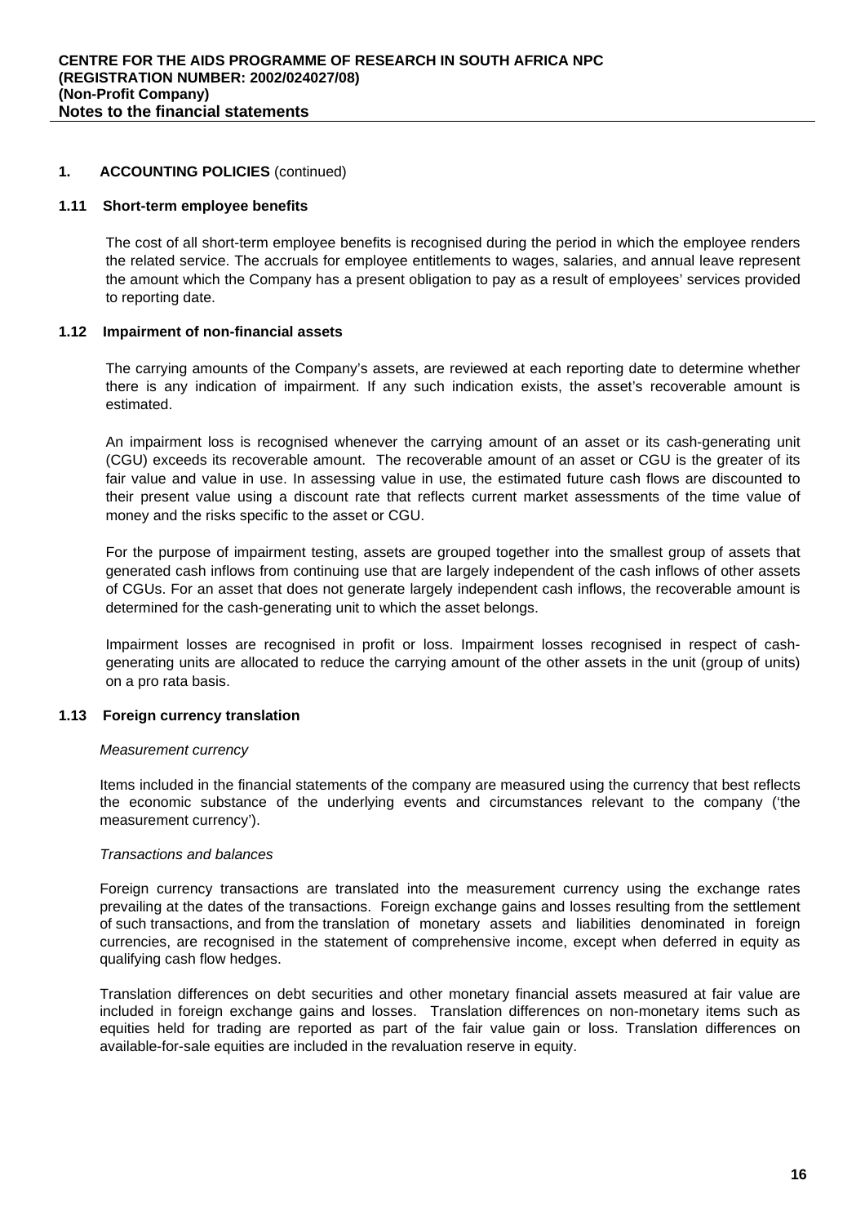### **1.11 Short-term employee benefits**

The cost of all short-term employee benefits is recognised during the period in which the employee renders the related service. The accruals for employee entitlements to wages, salaries, and annual leave represent the amount which the Company has a present obligation to pay as a result of employees' services provided to reporting date.

### **1.12 Impairment of non-financial assets**

The carrying amounts of the Company's assets, are reviewed at each reporting date to determine whether there is any indication of impairment. If any such indication exists, the asset's recoverable amount is estimated.

An impairment loss is recognised whenever the carrying amount of an asset or its cash-generating unit (CGU) exceeds its recoverable amount. The recoverable amount of an asset or CGU is the greater of its fair value and value in use. In assessing value in use, the estimated future cash flows are discounted to their present value using a discount rate that reflects current market assessments of the time value of money and the risks specific to the asset or CGU.

For the purpose of impairment testing, assets are grouped together into the smallest group of assets that generated cash inflows from continuing use that are largely independent of the cash inflows of other assets of CGUs. For an asset that does not generate largely independent cash inflows, the recoverable amount is determined for the cash-generating unit to which the asset belongs.

Impairment losses are recognised in profit or loss. Impairment losses recognised in respect of cashgenerating units are allocated to reduce the carrying amount of the other assets in the unit (group of units) on a pro rata basis.

### **1.13 Foreign currency translation**

### *Measurement currency*

Items included in the financial statements of the company are measured using the currency that best reflects the economic substance of the underlying events and circumstances relevant to the company ('the measurement currency').

# *Transactions and balances*

Foreign currency transactions are translated into the measurement currency using the exchange rates prevailing at the dates of the transactions. Foreign exchange gains and losses resulting from the settlement of such transactions, and from the translation of monetary assets and liabilities denominated in foreign currencies, are recognised in the statement of comprehensive income, except when deferred in equity as qualifying cash flow hedges.

Translation differences on debt securities and other monetary financial assets measured at fair value are included in foreign exchange gains and losses. Translation differences on non-monetary items such as equities held for trading are reported as part of the fair value gain or loss. Translation differences on available-for-sale equities are included in the revaluation reserve in equity.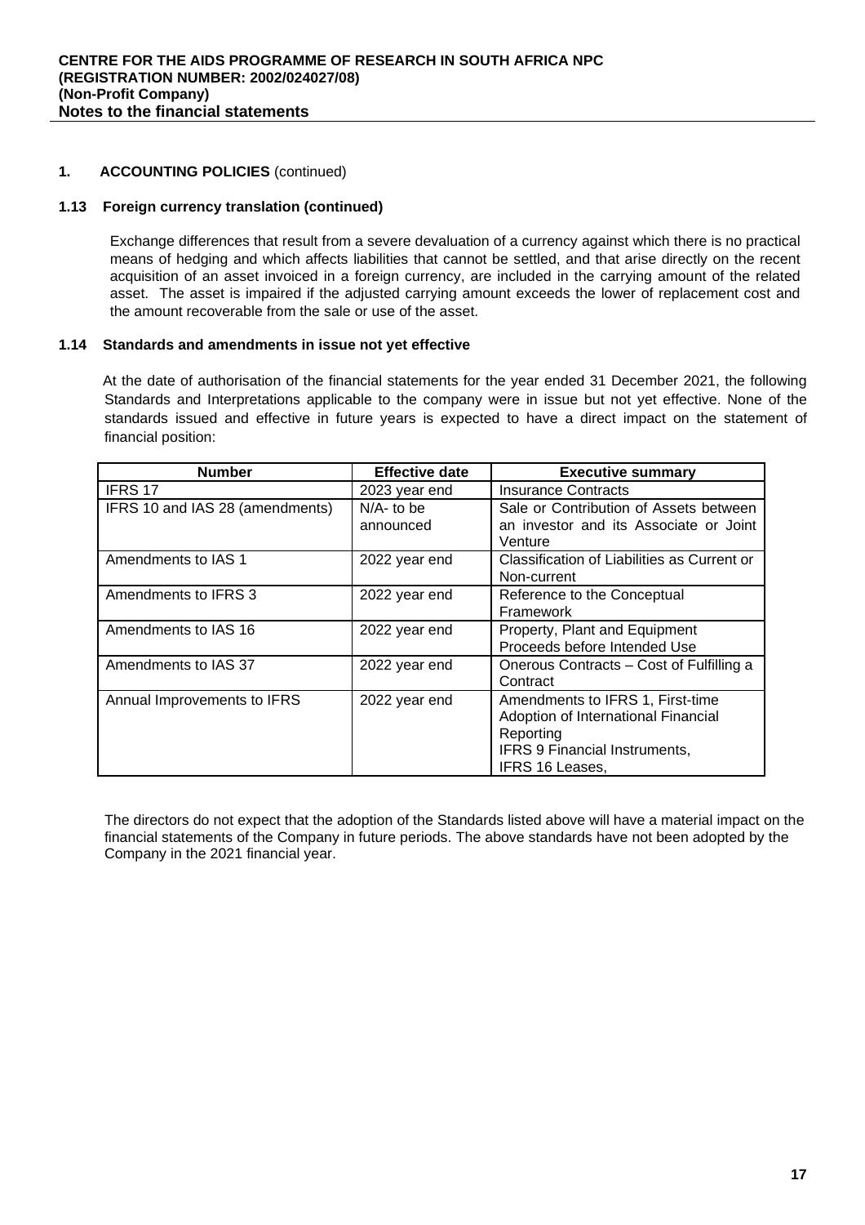### **1.13 Foreign currency translation (continued)**

Exchange differences that result from a severe devaluation of a currency against which there is no practical means of hedging and which affects liabilities that cannot be settled, and that arise directly on the recent acquisition of an asset invoiced in a foreign currency, are included in the carrying amount of the related asset. The asset is impaired if the adjusted carrying amount exceeds the lower of replacement cost and the amount recoverable from the sale or use of the asset.

### **1.14 Standards and amendments in issue not yet effective**

At the date of authorisation of the financial statements for the year ended 31 December 2021, the following Standards and Interpretations applicable to the company were in issue but not yet effective. None of the standards issued and effective in future years is expected to have a direct impact on the statement of financial position:

| <b>Number</b>                   | <b>Effective date</b> | <b>Executive summary</b>                    |
|---------------------------------|-----------------------|---------------------------------------------|
| IFRS 17                         | 2023 year end         | Insurance Contracts                         |
| IFRS 10 and IAS 28 (amendments) | N/A- to be            | Sale or Contribution of Assets between      |
|                                 | announced             | an investor and its Associate or Joint      |
|                                 |                       | Venture                                     |
| Amendments to IAS 1             | 2022 year end         | Classification of Liabilities as Current or |
|                                 |                       | Non-current                                 |
| Amendments to IFRS 3            | 2022 year end         | Reference to the Conceptual                 |
|                                 |                       | Framework                                   |
| Amendments to IAS 16            | 2022 year end         | Property, Plant and Equipment               |
|                                 |                       | Proceeds before Intended Use                |
| Amendments to IAS 37            | 2022 year end         | Onerous Contracts - Cost of Fulfilling a    |
|                                 |                       | Contract                                    |
| Annual Improvements to IFRS     | 2022 year end         | Amendments to IFRS 1, First-time            |
|                                 |                       | Adoption of International Financial         |
|                                 |                       | Reporting                                   |
|                                 |                       | <b>IFRS 9 Financial Instruments,</b>        |
|                                 |                       | IFRS 16 Leases,                             |

The directors do not expect that the adoption of the Standards listed above will have a material impact on the financial statements of the Company in future periods. The above standards have not been adopted by the Company in the 2021 financial year.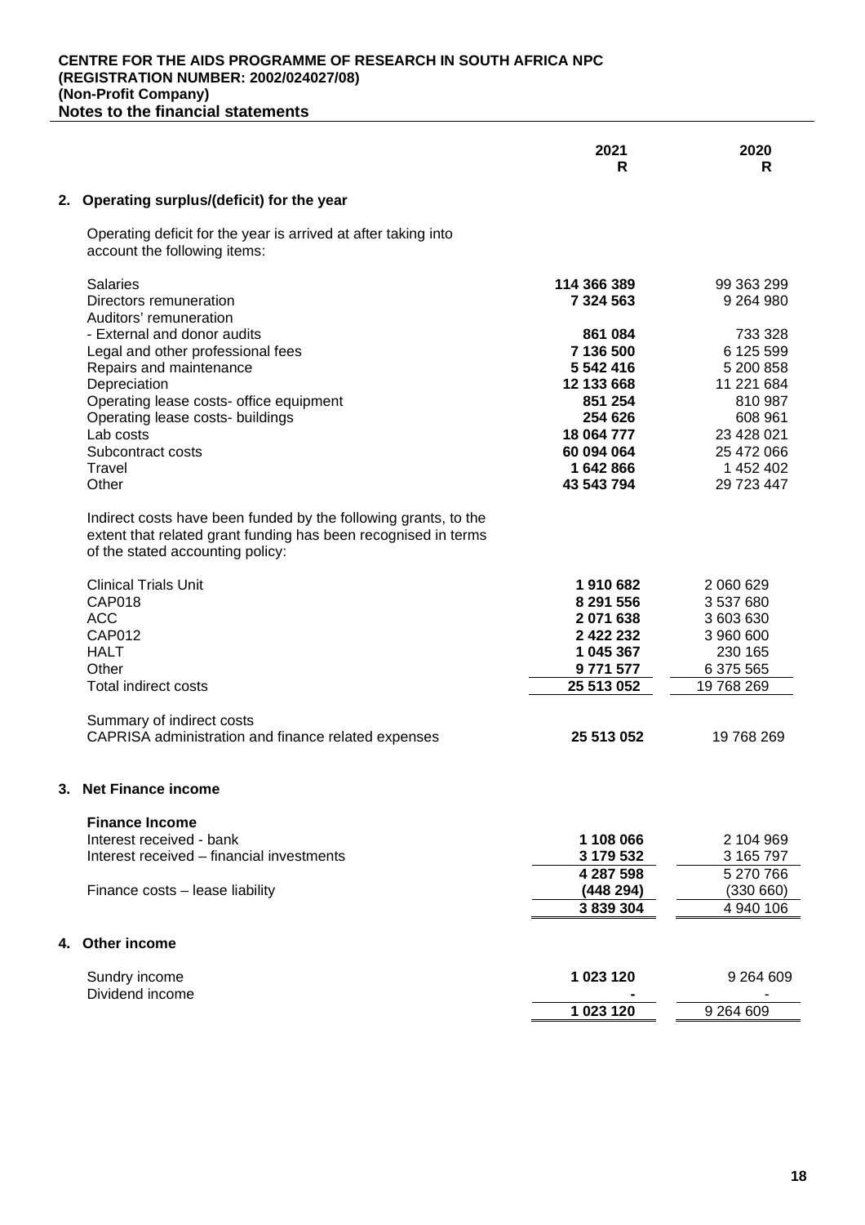|    |                                                                                                                                                                       | 2021<br>R               | 2020<br>R               |
|----|-----------------------------------------------------------------------------------------------------------------------------------------------------------------------|-------------------------|-------------------------|
|    | 2. Operating surplus/(deficit) for the year                                                                                                                           |                         |                         |
|    | Operating deficit for the year is arrived at after taking into<br>account the following items:                                                                        |                         |                         |
|    | <b>Salaries</b>                                                                                                                                                       | 114 366 389             | 99 363 299              |
|    | Directors remuneration                                                                                                                                                | 7 324 563               | 9 2 64 9 80             |
|    | Auditors' remuneration                                                                                                                                                |                         |                         |
|    | - External and donor audits                                                                                                                                           | 861 084                 | 733 328                 |
|    | Legal and other professional fees                                                                                                                                     | 7 136 500               | 6 125 599               |
|    | Repairs and maintenance<br>Depreciation                                                                                                                               | 5 542 416<br>12 133 668 | 5 200 858<br>11 221 684 |
|    | Operating lease costs- office equipment                                                                                                                               | 851 254                 | 810 987                 |
|    | Operating lease costs- buildings                                                                                                                                      | 254 626                 | 608 961                 |
|    | Lab costs                                                                                                                                                             | 18 064 777              | 23 428 021              |
|    | Subcontract costs                                                                                                                                                     | 60 094 064              | 25 472 066              |
|    | Travel                                                                                                                                                                | 1 642 866               | 1 452 402               |
|    | Other                                                                                                                                                                 | 43 543 794              | 29 723 447              |
|    | Indirect costs have been funded by the following grants, to the<br>extent that related grant funding has been recognised in terms<br>of the stated accounting policy: |                         |                         |
|    | <b>Clinical Trials Unit</b>                                                                                                                                           | 1910682                 | 2 060 629               |
|    | <b>CAP018</b>                                                                                                                                                         | 8 291 556               | 3537680                 |
|    | <b>ACC</b>                                                                                                                                                            | 2071638                 | 3 603 630               |
|    | <b>CAP012</b>                                                                                                                                                         | 2 4 2 2 2 3 2           | 3 960 600               |
|    | <b>HALT</b>                                                                                                                                                           | 1 045 367               | 230 165                 |
|    | Other                                                                                                                                                                 | 9771577                 | 6 375 565               |
|    | <b>Total indirect costs</b>                                                                                                                                           | 25 513 052              | 19 768 269              |
|    | Summary of indirect costs<br>CAPRISA administration and finance related expenses                                                                                      | 25 513 052              | 19 768 269              |
| 3. | <b>Net Finance income</b>                                                                                                                                             |                         |                         |
|    | <b>Finance Income</b>                                                                                                                                                 |                         |                         |
|    | Interest received - bank                                                                                                                                              | 1 108 066               | 2 104 969               |
|    | Interest received - financial investments                                                                                                                             | 3 179 532               | 3 165 797               |
|    |                                                                                                                                                                       | 4 287 598               | 5 270 766               |
|    | Finance costs - lease liability                                                                                                                                       | (448 294)<br>3839304    | (330660)<br>4 940 106   |
|    |                                                                                                                                                                       |                         |                         |
| 4. | <b>Other income</b>                                                                                                                                                   |                         |                         |
|    | Sundry income                                                                                                                                                         | 1 023 120               | 9 2 64 6 0 9            |
|    | Dividend income                                                                                                                                                       |                         |                         |
|    |                                                                                                                                                                       | 1 023 120               | 9 2 64 6 0 9            |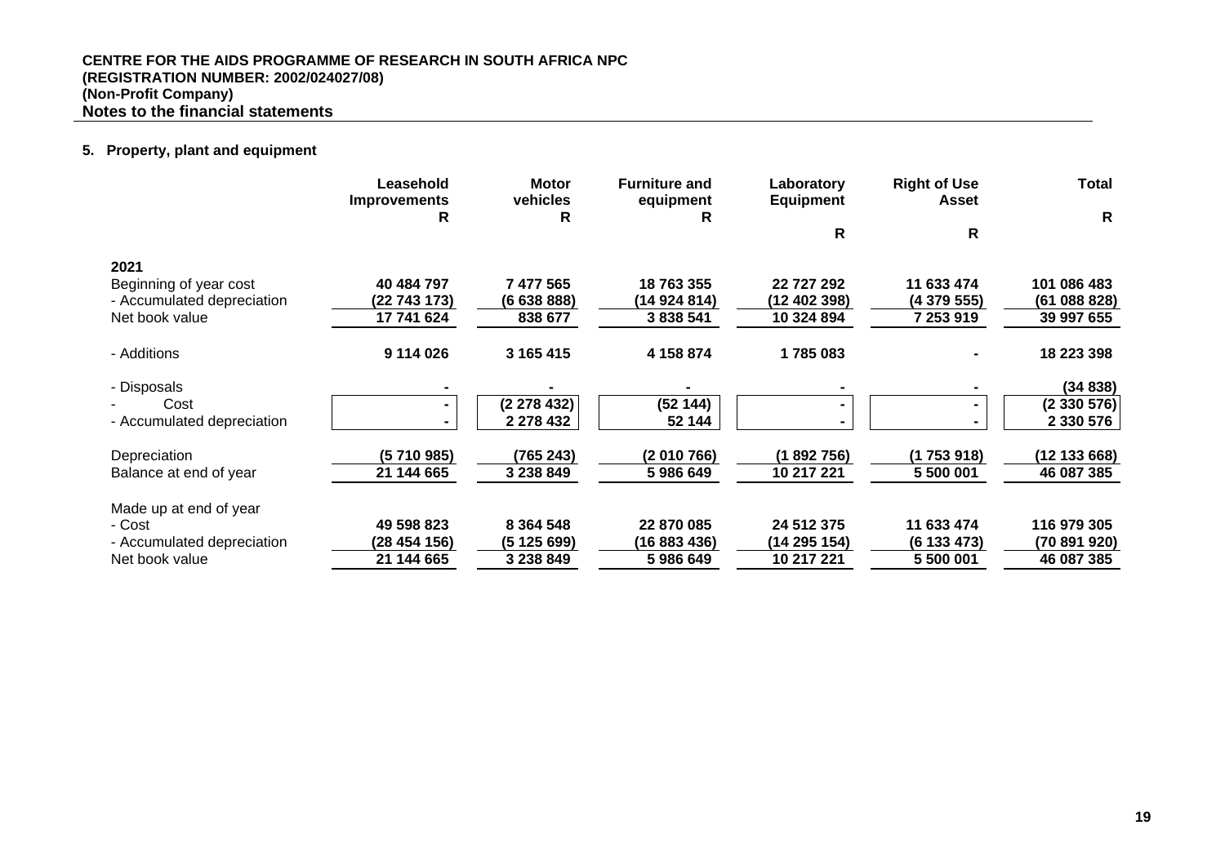# **5. Property, plant and equipment**

|                            | Leasehold<br><b>Improvements</b> | <b>Motor</b><br>vehicles | <b>Furniture and</b><br>equipment | Laboratory<br><b>Equipment</b> | <b>Right of Use</b><br><b>Asset</b> | <b>Total</b> |
|----------------------------|----------------------------------|--------------------------|-----------------------------------|--------------------------------|-------------------------------------|--------------|
|                            | R                                | R                        | R                                 | R                              | R                                   | $\mathsf{R}$ |
| 2021                       |                                  |                          |                                   |                                |                                     |              |
| Beginning of year cost     | 40 484 797                       | 7 477 565                | 18 763 355                        | 22 727 292                     | 11 633 474                          | 101 086 483  |
| - Accumulated depreciation | (22 743 173)                     | (663888)                 | (14 924 814)                      | (12 402 398)                   | (437955)                            | (61088828)   |
| Net book value             | 17 741 624                       | 838 677                  | 3 838 541                         | 10 324 894                     | 7 253 919                           | 39 997 655   |
| - Additions                | 9 114 026                        | 3 165 415                | 4 158 874                         | 1785083                        |                                     | 18 223 398   |
| - Disposals                |                                  |                          |                                   |                                |                                     | (34838)      |
| Cost                       |                                  | (2278432)                | (52144)                           |                                |                                     | (2330576)    |
| - Accumulated depreciation |                                  | 2 278 432                | 52 144                            |                                |                                     | 2 330 576    |
| Depreciation               | (5710985)                        | (765243)                 | (2 010 766)                       | (1892756)                      | (1753918)                           | (12 133 668) |
| Balance at end of year     | 21 144 665                       | 3 238 849                | 5986649                           | 10 217 221                     | 5 500 001                           | 46 087 385   |
| Made up at end of year     |                                  |                          |                                   |                                |                                     |              |
| - Cost                     | 49 598 823                       | 8 3 6 4 5 4 8            | 22 870 085                        | 24 512 375                     | 11 633 474                          | 116 979 305  |
| - Accumulated depreciation | (28 454 156)                     | (512569)                 | (16 883 436)                      | (14 295 154)                   | (6133473)                           | (70 891 920) |
| Net book value             | 21 144 665                       | 3 238 849                | 5986649                           | 10 217 221                     | 5 500 001                           | 46 087 385   |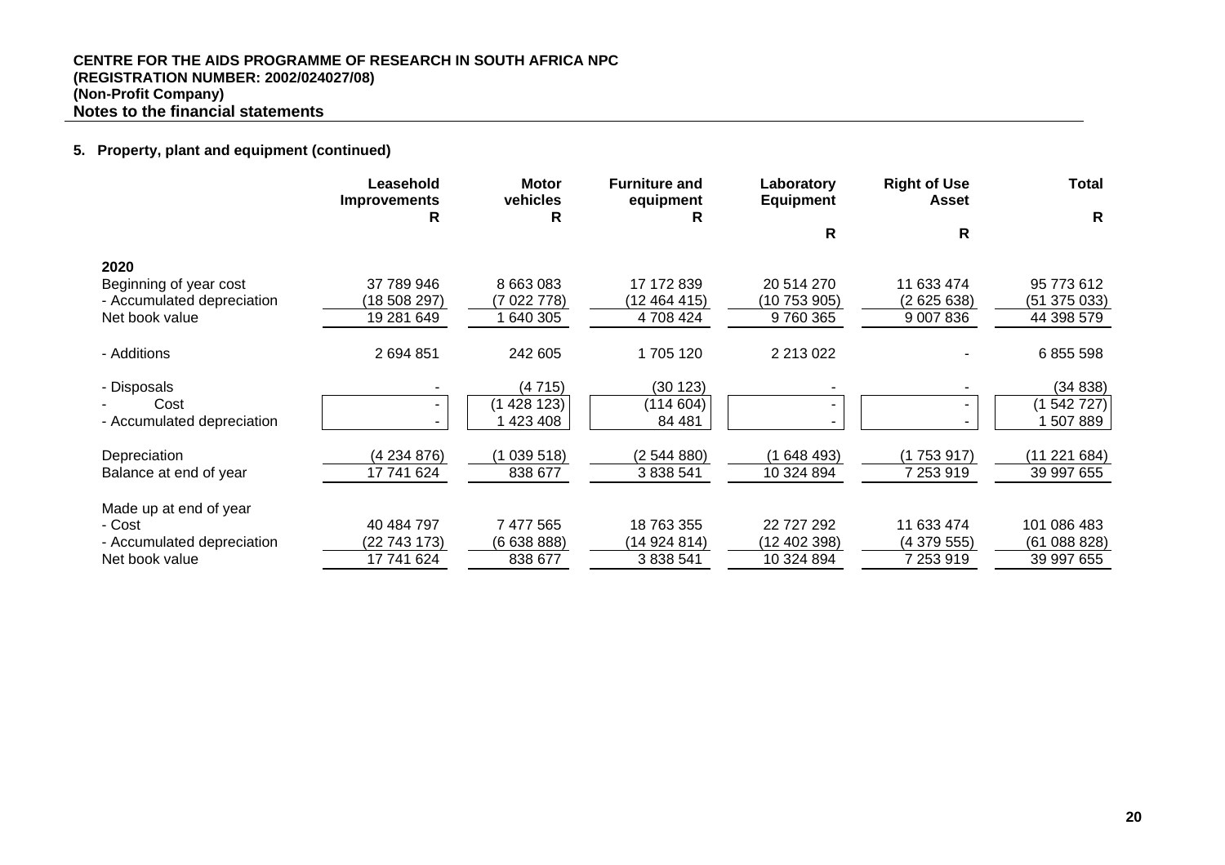# **5. Property, plant and equipment (continued)**

|                            | Leasehold<br><b>Improvements</b> | <b>Motor</b><br>vehicles | <b>Furniture and</b><br>equipment | Laboratory<br><b>Equipment</b> | <b>Right of Use</b><br><b>Asset</b> | <b>Total</b> |
|----------------------------|----------------------------------|--------------------------|-----------------------------------|--------------------------------|-------------------------------------|--------------|
|                            | R                                | R                        | R                                 | R                              | R                                   | R            |
|                            |                                  |                          |                                   |                                |                                     |              |
| 2020                       |                                  |                          |                                   |                                |                                     |              |
| Beginning of year cost     | 37 789 946                       | 8 663 083                | 17 172 839                        | 20 514 270                     | 11 633 474                          | 95 773 612   |
| - Accumulated depreciation | (18 508 297)                     | (7 022 778)              | (12 464 415)                      | (10 753 905)                   | (2625638)                           | (51 375 033) |
| Net book value             | 19 281 649                       | 1 640 305                | 4708424                           | 9760365                        | 9 0 0 7 8 3 6                       | 44 398 579   |
|                            |                                  |                          |                                   |                                |                                     |              |
| - Additions                | 2694851                          | 242 605                  | 1705120                           | 2 213 022                      |                                     | 6 855 598    |
|                            |                                  |                          |                                   |                                |                                     |              |
| - Disposals                |                                  | (4715)                   | (30123)                           |                                |                                     | (34838)      |
| Cost                       |                                  | (1 428 123)              | (114 604)                         |                                |                                     | (1 542 727)  |
| - Accumulated depreciation |                                  | 423 408                  | 84 481                            | ۰                              |                                     | 507889       |
|                            |                                  |                          |                                   |                                |                                     |              |
| Depreciation               | (4234876)                        | (1039518)                | (2544880)                         | (1648493)                      | (1753917)                           | (11 221 684) |
| Balance at end of year     | 17 741 624                       | 838 677                  | 3 838 541                         | 10 324 894                     | 7 253 919                           | 39 997 655   |
|                            |                                  |                          |                                   |                                |                                     |              |
| Made up at end of year     |                                  |                          |                                   |                                |                                     |              |
| - Cost                     | 40 484 797                       | 7 477 565                | 18 763 355                        | 22 727 292                     | 11 633 474                          | 101 086 483  |
| - Accumulated depreciation | (22 743 173)                     | (663888)                 | (14 924 814)                      | (12 402 398)                   | (437955)                            | (61088828)   |
| Net book value             | 17 741 624                       | 838 677                  | 3 838 541                         | 10 324 894                     | 7 253 919                           | 39 997 655   |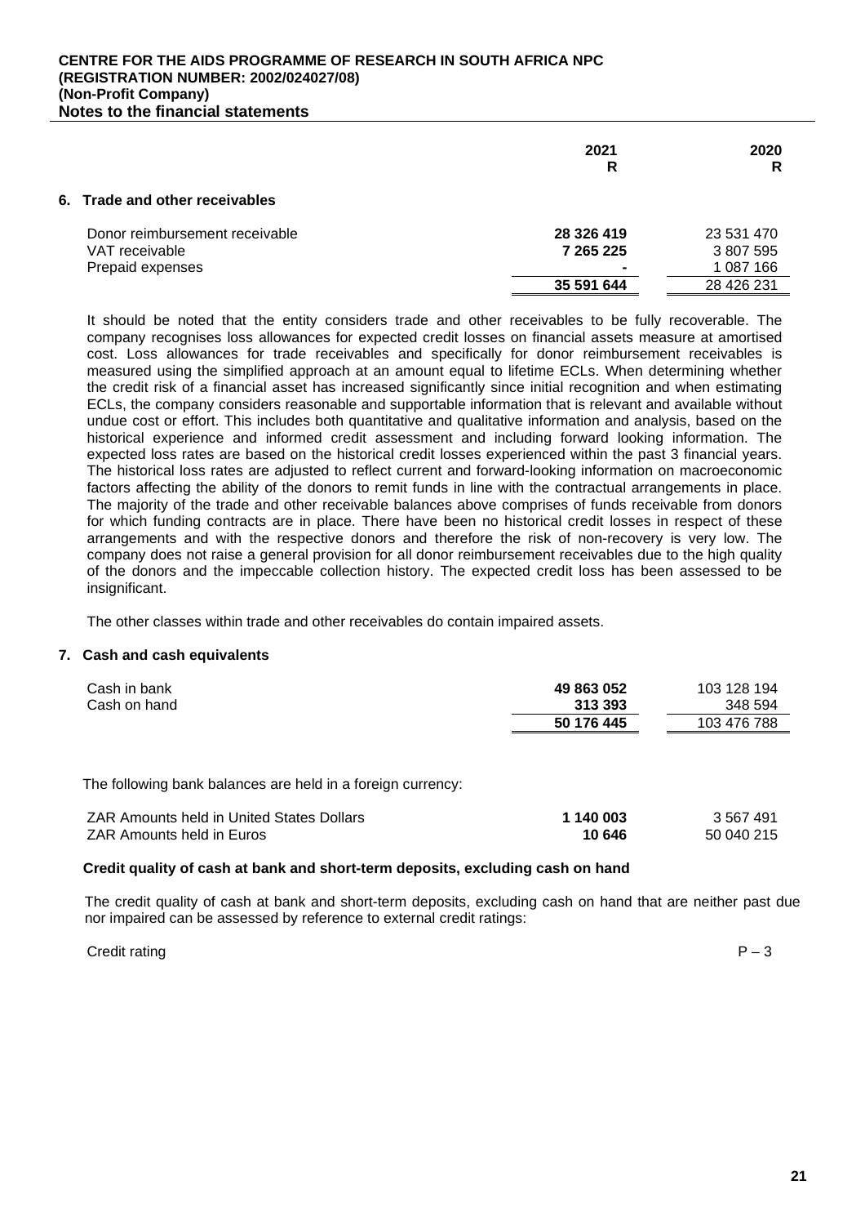|                                                  | 2021<br>R               | 2020<br>R               |
|--------------------------------------------------|-------------------------|-------------------------|
| 6. Trade and other receivables                   |                         |                         |
| Donor reimbursement receivable<br>VAT receivable | 28 326 419<br>7 265 225 | 23 531 470<br>3 807 595 |
| Prepaid expenses                                 |                         | 1 087 166               |
|                                                  | 35 591 644              | 28 426 231              |

It should be noted that the entity considers trade and other receivables to be fully recoverable. The company recognises loss allowances for expected credit losses on financial assets measure at amortised cost. Loss allowances for trade receivables and specifically for donor reimbursement receivables is measured using the simplified approach at an amount equal to lifetime ECLs. When determining whether the credit risk of a financial asset has increased significantly since initial recognition and when estimating ECLs, the company considers reasonable and supportable information that is relevant and available without undue cost or effort. This includes both quantitative and qualitative information and analysis, based on the historical experience and informed credit assessment and including forward looking information. The expected loss rates are based on the historical credit losses experienced within the past 3 financial years. The historical loss rates are adjusted to reflect current and forward-looking information on macroeconomic factors affecting the ability of the donors to remit funds in line with the contractual arrangements in place. The majority of the trade and other receivable balances above comprises of funds receivable from donors for which funding contracts are in place. There have been no historical credit losses in respect of these arrangements and with the respective donors and therefore the risk of non-recovery is very low. The company does not raise a general provision for all donor reimbursement receivables due to the high quality of the donors and the impeccable collection history. The expected credit loss has been assessed to be insignificant.

The other classes within trade and other receivables do contain impaired assets.

# **7. Cash and cash equivalents**

| Cash in bank | 49 863 052 | 103 128 194 |
|--------------|------------|-------------|
| Cash on hand | 313 393    | 348 594     |
|              | 50 176 445 | 103 476 788 |
|              |            |             |

The following bank balances are held in a foreign currency:

| <b>ZAR Amounts held in United States Dollars</b> | 1 140 003 | 3 567 491  |
|--------------------------------------------------|-----------|------------|
| ZAR Amounts held in Euros                        | 10 646    | 50 040 215 |

### **Credit quality of cash at bank and short-term deposits, excluding cash on hand**

The credit quality of cash at bank and short-term deposits, excluding cash on hand that are neither past due nor impaired can be assessed by reference to external credit ratings:

Credit rating  $P-3$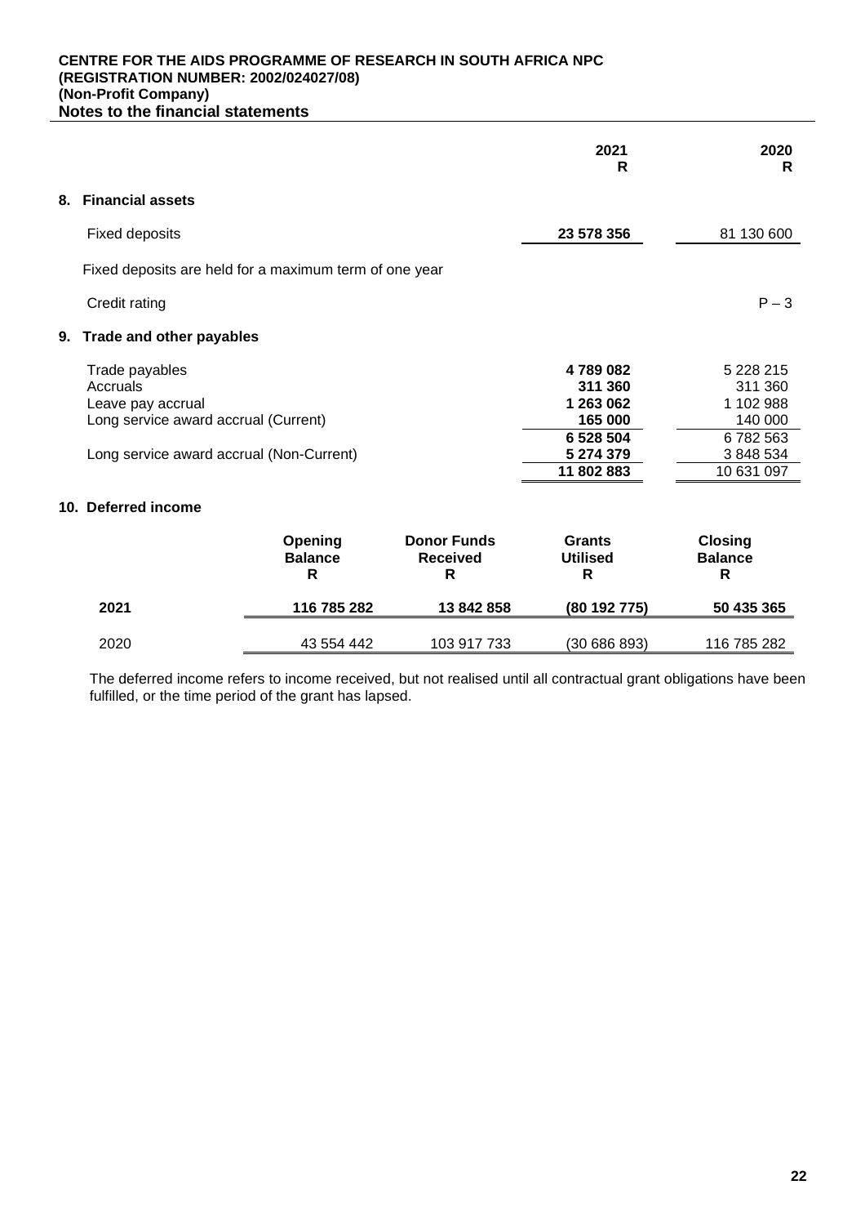|                                                        |                                |                                            | 2021<br>R                             | 2020<br>R                             |
|--------------------------------------------------------|--------------------------------|--------------------------------------------|---------------------------------------|---------------------------------------|
| 8. Financial assets                                    |                                |                                            |                                       |                                       |
| <b>Fixed deposits</b>                                  |                                |                                            | 23 578 356                            | 81 130 600                            |
| Fixed deposits are held for a maximum term of one year |                                |                                            |                                       |                                       |
| Credit rating                                          |                                |                                            |                                       | $P - 3$                               |
| 9. Trade and other payables                            |                                |                                            |                                       |                                       |
| Trade payables<br>Accruals                             |                                |                                            | 4789082<br>311 360                    | 5 228 215<br>311 360                  |
| Leave pay accrual                                      |                                |                                            | 1 263 062                             | 1 102 988                             |
| Long service award accrual (Current)                   |                                |                                            | 165 000                               | 140 000                               |
|                                                        |                                |                                            | 6 528 504                             | 6782563                               |
| Long service award accrual (Non-Current)               |                                |                                            | 5 274 379                             | 3 848 534                             |
|                                                        |                                |                                            | 11 802 883                            | 10 631 097                            |
| 10. Deferred income                                    |                                |                                            |                                       |                                       |
|                                                        | Opening<br><b>Balance</b><br>R | <b>Donor Funds</b><br><b>Received</b><br>R | <b>Grants</b><br><b>Utilised</b><br>R | <b>Closing</b><br><b>Balance</b><br>R |
| 2021                                                   | 116 785 282                    | 13 842 858                                 | (80 192 775)                          | 50 435 365                            |
| 2020                                                   | 43 554 442                     | 103 917 733                                | (30686893)                            | 116 785 282                           |

The deferred income refers to income received, but not realised until all contractual grant obligations have been fulfilled, or the time period of the grant has lapsed.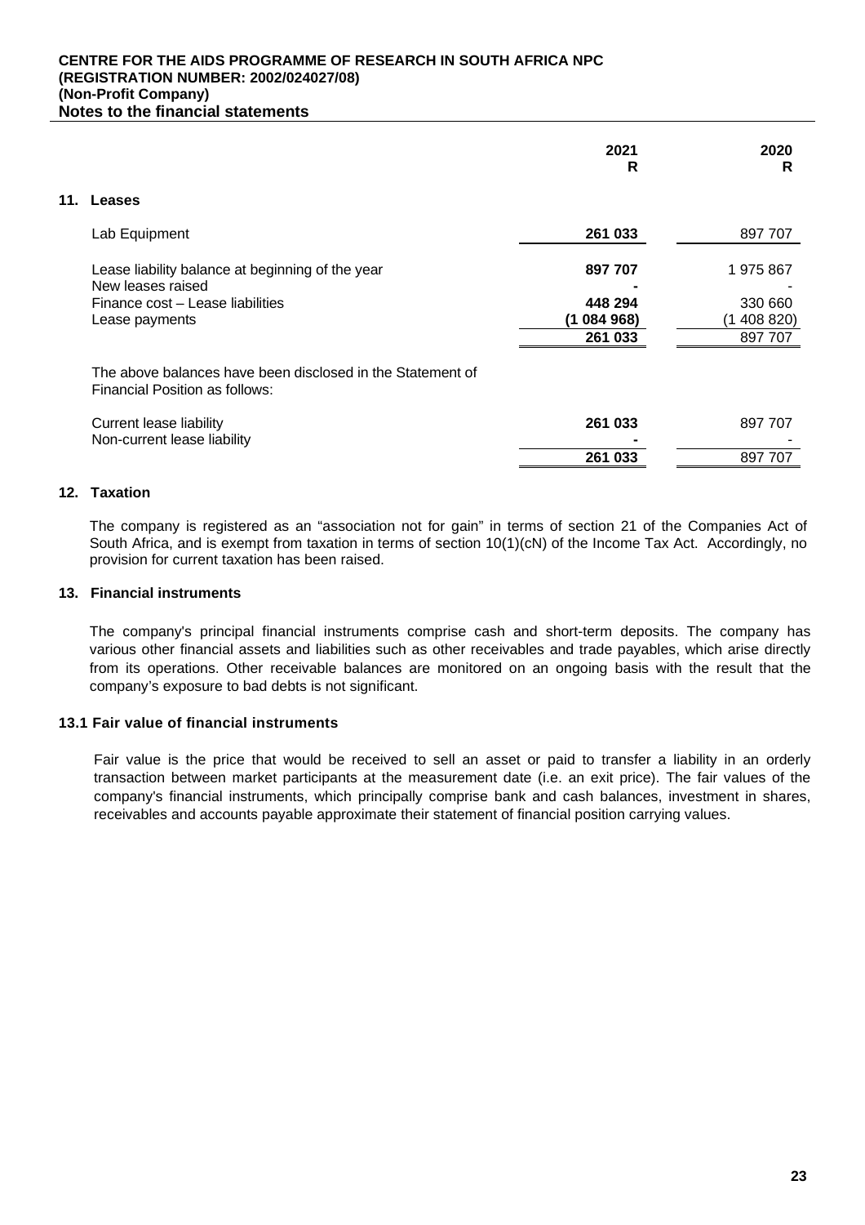|                                                                                                                             | 2021<br>R                                    | 2020<br>R                                  |
|-----------------------------------------------------------------------------------------------------------------------------|----------------------------------------------|--------------------------------------------|
| 11.<br>Leases                                                                                                               |                                              |                                            |
| Lab Equipment                                                                                                               | 261 033                                      | 897 707                                    |
| Lease liability balance at beginning of the year<br>New leases raised<br>Finance cost – Lease liabilities<br>Lease payments | 897 707<br>448 294<br>(1 084 968)<br>261 033 | 1975867<br>330 660<br>(1408820)<br>897 707 |
| The above balances have been disclosed in the Statement of<br>Financial Position as follows:                                |                                              |                                            |
| <b>Current lease liability</b>                                                                                              | 261 033                                      | 897 707                                    |
| Non-current lease liability                                                                                                 | 261 033                                      | 897 707                                    |

# **12. Taxation**

The company is registered as an "association not for gain" in terms of section 21 of the Companies Act of South Africa, and is exempt from taxation in terms of section 10(1)(cN) of the Income Tax Act. Accordingly, no provision for current taxation has been raised.

### **13. Financial instruments**

The company's principal financial instruments comprise cash and short-term deposits. The company has various other financial assets and liabilities such as other receivables and trade payables, which arise directly from its operations. Other receivable balances are monitored on an ongoing basis with the result that the company's exposure to bad debts is not significant.

# **13.1 Fair value of financial instruments**

Fair value is the price that would be received to sell an asset or paid to transfer a liability in an orderly transaction between market participants at the measurement date (i.e. an exit price). The fair values of the company's financial instruments, which principally comprise bank and cash balances, investment in shares, receivables and accounts payable approximate their statement of financial position carrying values.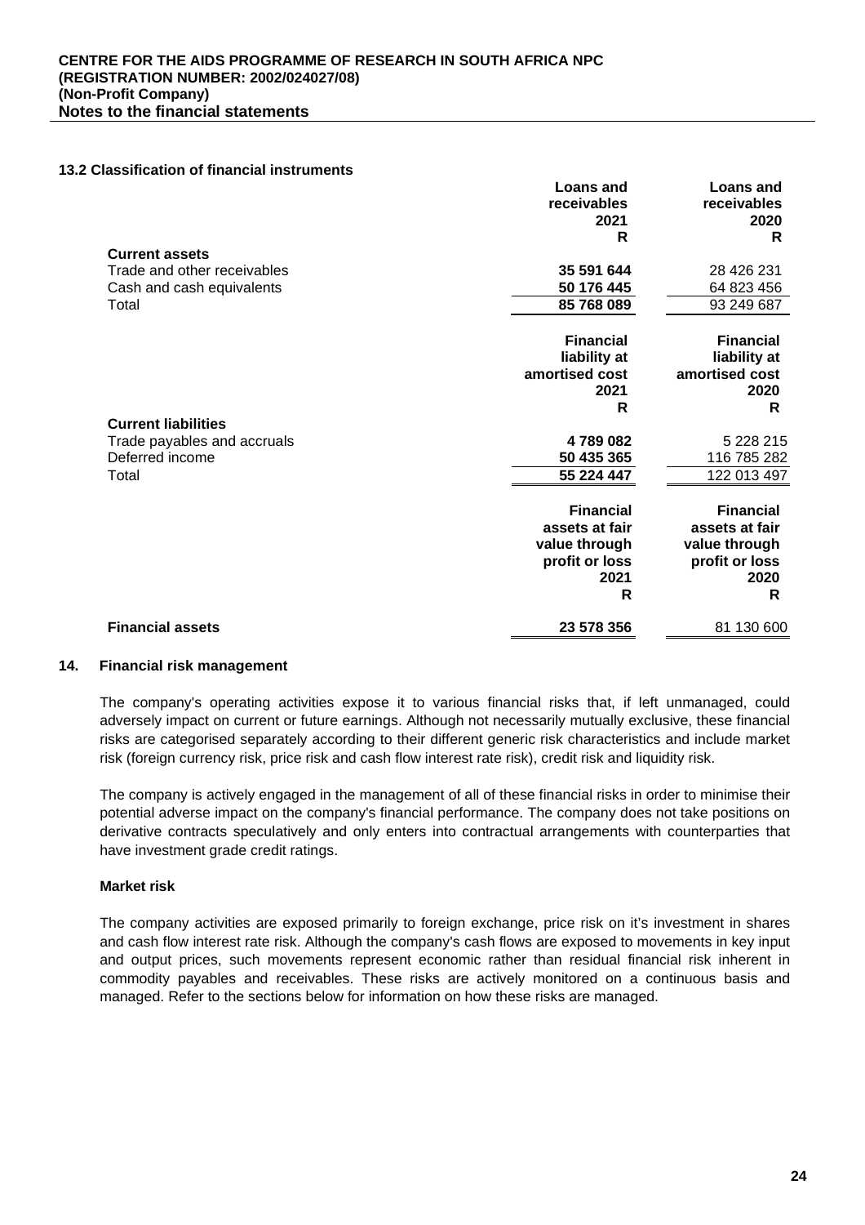### **13.2 Classification of financial instruments**

|                             | <b>Loans and</b> | <b>Loans and</b> |
|-----------------------------|------------------|------------------|
|                             | receivables      | receivables      |
|                             | 2021             | 2020             |
|                             | R                | R                |
| <b>Current assets</b>       |                  |                  |
| Trade and other receivables | 35 591 644       | 28 426 231       |
| Cash and cash equivalents   | 50 176 445       | 64 823 456       |
| Total                       | 85 768 089       | 93 249 687       |
|                             |                  |                  |
|                             | <b>Financial</b> | <b>Financial</b> |
|                             | liability at     | liability at     |
|                             | amortised cost   | amortised cost   |
|                             | 2021             | 2020             |
|                             | R                | R                |
| <b>Current liabilities</b>  |                  |                  |
| Trade payables and accruals | 4789082          | 5 2 2 8 2 1 5    |
| Deferred income             | 50 435 365       | 116 785 282      |
| Total                       | 55 224 447       | 122 013 497      |
|                             | <b>Financial</b> | <b>Financial</b> |
|                             | assets at fair   | assets at fair   |
|                             |                  |                  |
|                             | value through    | value through    |
|                             | profit or loss   | profit or loss   |
|                             | 2021             | 2020             |
|                             | R                | R                |
| <b>Financial assets</b>     | 23 578 356       | 81 130 600       |

### **14. Financial risk management**

The company's operating activities expose it to various financial risks that, if left unmanaged, could adversely impact on current or future earnings. Although not necessarily mutually exclusive, these financial risks are categorised separately according to their different generic risk characteristics and include market risk (foreign currency risk, price risk and cash flow interest rate risk), credit risk and liquidity risk.

The company is actively engaged in the management of all of these financial risks in order to minimise their potential adverse impact on the company's financial performance. The company does not take positions on derivative contracts speculatively and only enters into contractual arrangements with counterparties that have investment grade credit ratings.

### **Market risk**

The company activities are exposed primarily to foreign exchange, price risk on it's investment in shares and cash flow interest rate risk. Although the company's cash flows are exposed to movements in key input and output prices, such movements represent economic rather than residual financial risk inherent in commodity payables and receivables. These risks are actively monitored on a continuous basis and managed. Refer to the sections below for information on how these risks are managed.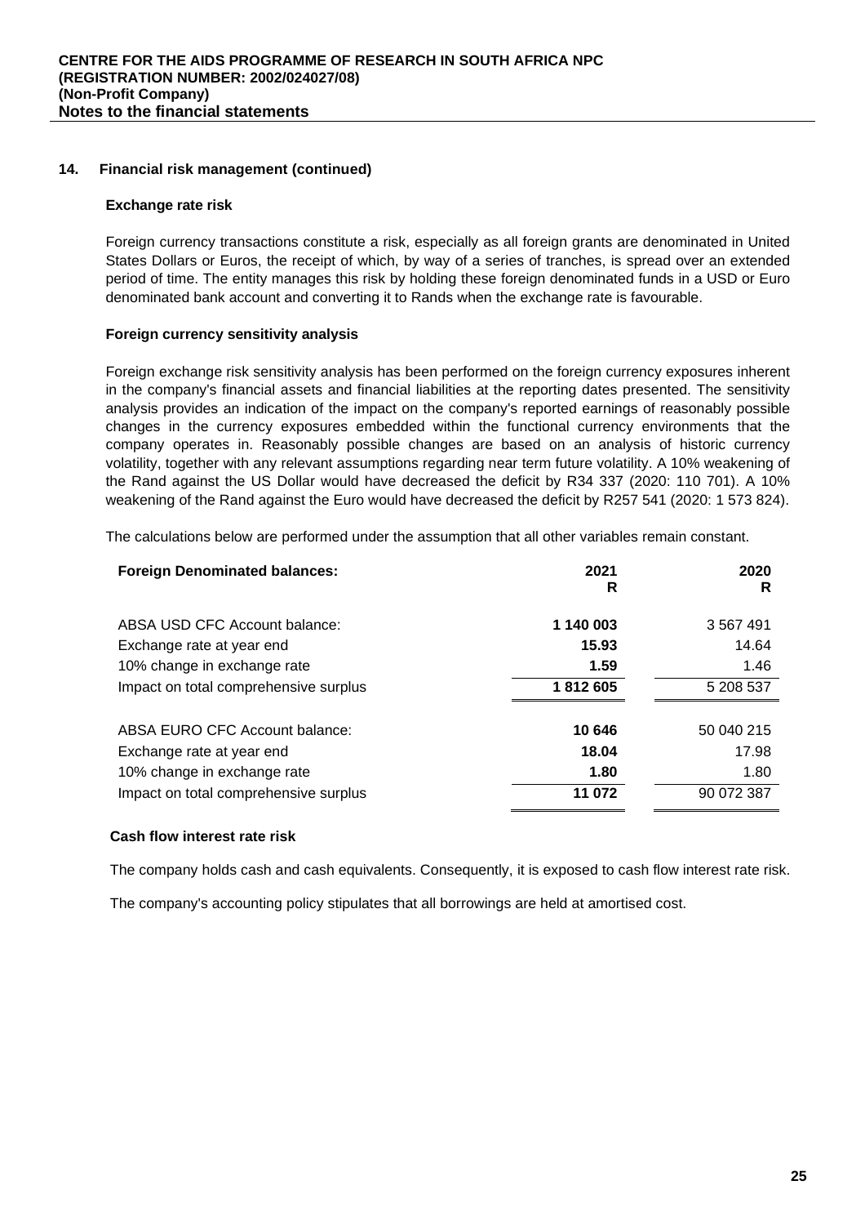### **Exchange rate risk**

Foreign currency transactions constitute a risk, especially as all foreign grants are denominated in United States Dollars or Euros, the receipt of which, by way of a series of tranches, is spread over an extended period of time. The entity manages this risk by holding these foreign denominated funds in a USD or Euro denominated bank account and converting it to Rands when the exchange rate is favourable.

### **Foreign currency sensitivity analysis**

Foreign exchange risk sensitivity analysis has been performed on the foreign currency exposures inherent in the company's financial assets and financial liabilities at the reporting dates presented. The sensitivity analysis provides an indication of the impact on the company's reported earnings of reasonably possible changes in the currency exposures embedded within the functional currency environments that the company operates in. Reasonably possible changes are based on an analysis of historic currency volatility, together with any relevant assumptions regarding near term future volatility. A 10% weakening of the Rand against the US Dollar would have decreased the deficit by R34 337 (2020: 110 701). A 10% weakening of the Rand against the Euro would have decreased the deficit by R257 541 (2020: 1 573 824).

The calculations below are performed under the assumption that all other variables remain constant.

| <b>Foreign Denominated balances:</b>  | 2021<br>R | 2020<br>R  |
|---------------------------------------|-----------|------------|
| ABSA USD CFC Account balance:         | 1 140 003 | 3 567 491  |
| Exchange rate at year end             | 15.93     | 14.64      |
| 10% change in exchange rate           | 1.59      | 1.46       |
| Impact on total comprehensive surplus | 1812605   | 5 208 537  |
| ABSA EURO CFC Account balance:        | 10 646    | 50 040 215 |
| Exchange rate at year end             | 18.04     | 17.98      |
| 10% change in exchange rate           | 1.80      | 1.80       |
| Impact on total comprehensive surplus | 11 072    | 90 072 387 |

# **Cash flow interest rate risk**

The company holds cash and cash equivalents. Consequently, it is exposed to cash flow interest rate risk.

The company's accounting policy stipulates that all borrowings are held at amortised cost.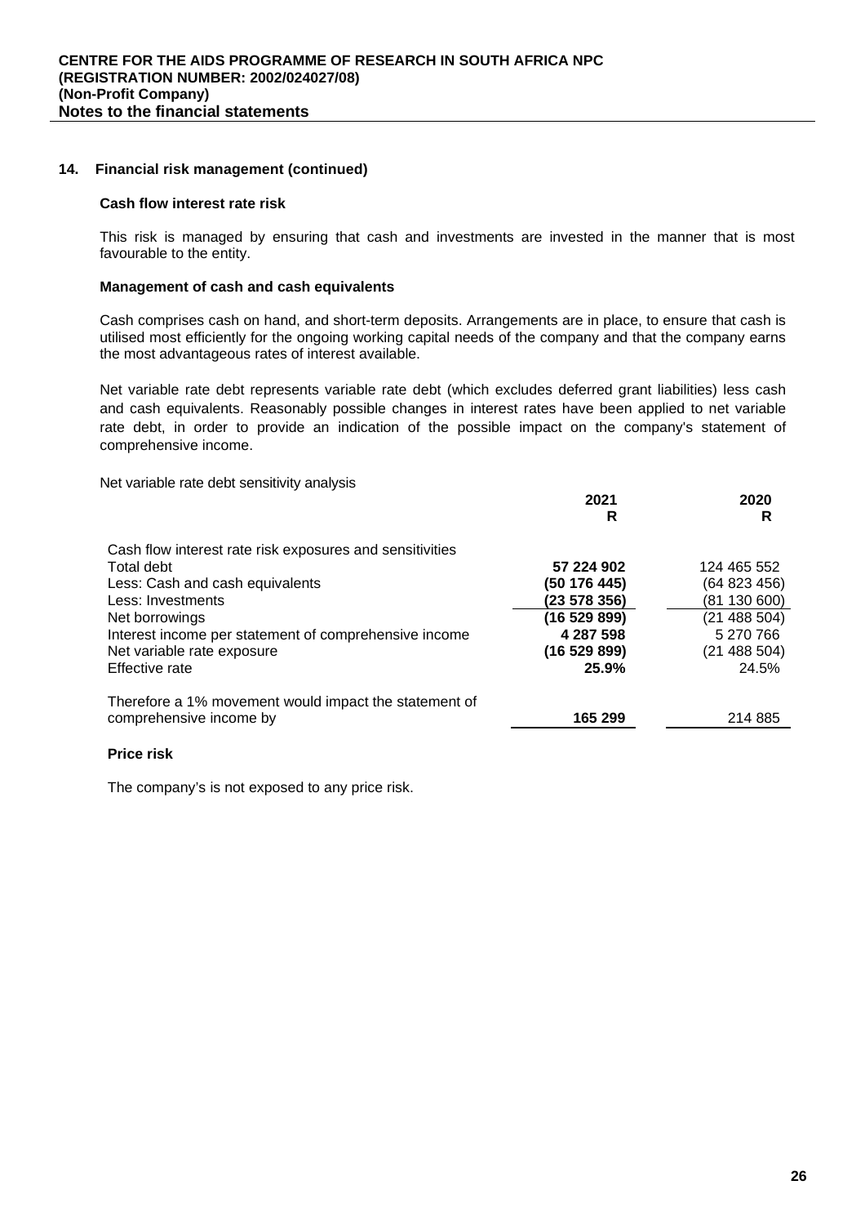### **Cash flow interest rate risk**

This risk is managed by ensuring that cash and investments are invested in the manner that is most favourable to the entity.

### **Management of cash and cash equivalents**

Cash comprises cash on hand, and short-term deposits. Arrangements are in place, to ensure that cash is utilised most efficiently for the ongoing working capital needs of the company and that the company earns the most advantageous rates of interest available.

Net variable rate debt represents variable rate debt (which excludes deferred grant liabilities) less cash and cash equivalents. Reasonably possible changes in interest rates have been applied to net variable rate debt, in order to provide an indication of the possible impact on the company's statement of comprehensive income.

**2021**

**2020**

Net variable rate debt sensitivity analysis

|                                                          | R            | R            |
|----------------------------------------------------------|--------------|--------------|
| Cash flow interest rate risk exposures and sensitivities |              |              |
| Total debt                                               | 57 224 902   | 124 465 552  |
| Less: Cash and cash equivalents                          | (50 176 445) | (64 823 456) |
| Less: Investments                                        | (23578356)   | (81 130 600) |
| Net borrowings                                           | (1652989)    | (21488504)   |
| Interest income per statement of comprehensive income    | 4 287 598    | 5 270 766    |
| Net variable rate exposure                               | (1652989)    | (21488504)   |
| Effective rate                                           | 25.9%        | 24.5%        |
| Therefore a 1% movement would impact the statement of    |              |              |
| comprehensive income by                                  | 165 299      | 214 885      |

### **Price risk**

The company's is not exposed to any price risk.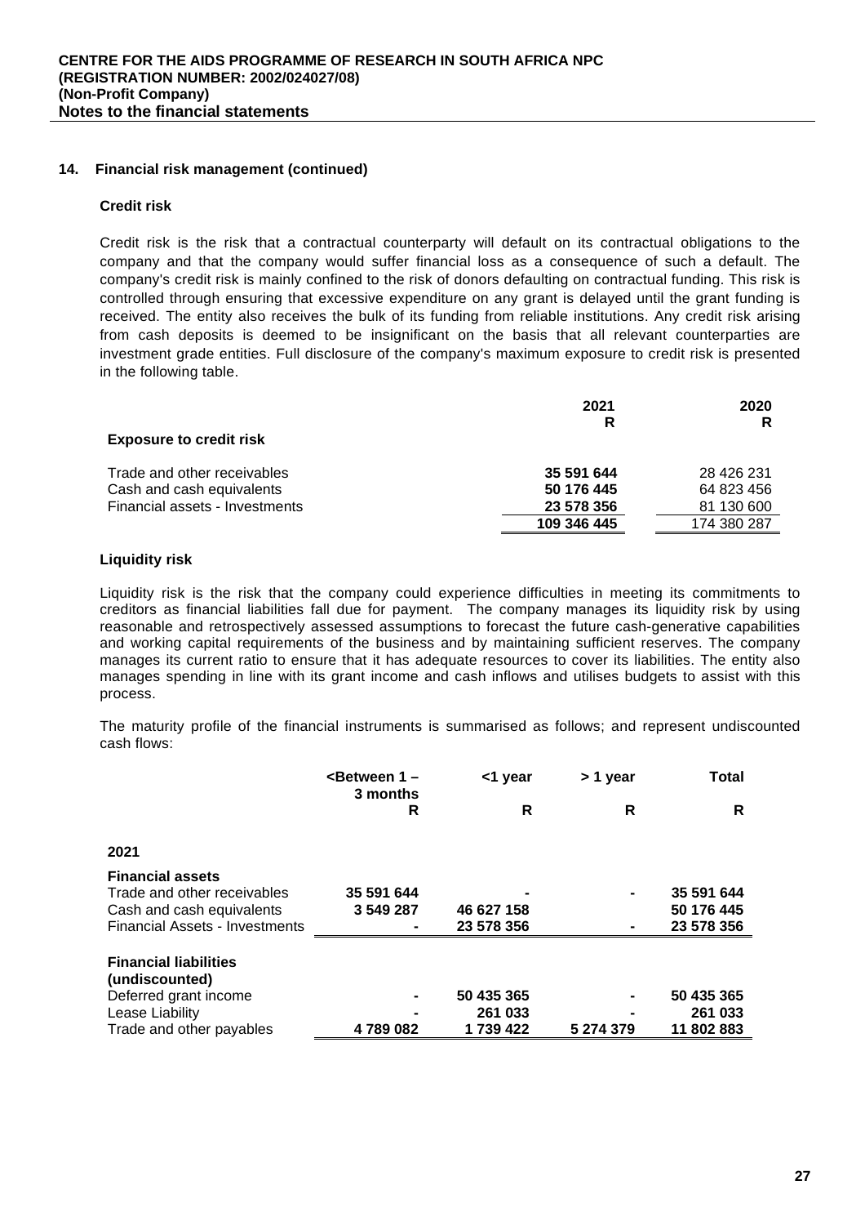### **Credit risk**

Credit risk is the risk that a contractual counterparty will default on its contractual obligations to the company and that the company would suffer financial loss as a consequence of such a default. The company's credit risk is mainly confined to the risk of donors defaulting on contractual funding. This risk is controlled through ensuring that excessive expenditure on any grant is delayed until the grant funding is received. The entity also receives the bulk of its funding from reliable institutions. Any credit risk arising from cash deposits is deemed to be insignificant on the basis that all relevant counterparties are investment grade entities. Full disclosure of the company's maximum exposure to credit risk is presented in the following table.

|                                | 2021        | 2020        |
|--------------------------------|-------------|-------------|
| <b>Exposure to credit risk</b> | R           | R           |
| Trade and other receivables    | 35 591 644  | 28 426 231  |
| Cash and cash equivalents      | 50 176 445  | 64 823 456  |
| Financial assets - Investments | 23 578 356  | 81 130 600  |
|                                | 109 346 445 | 174 380 287 |

### **Liquidity risk**

Liquidity risk is the risk that the company could experience difficulties in meeting its commitments to creditors as financial liabilities fall due for payment. The company manages its liquidity risk by using reasonable and retrospectively assessed assumptions to forecast the future cash-generative capabilities and working capital requirements of the business and by maintaining sufficient reserves. The company manages its current ratio to ensure that it has adequate resources to cover its liabilities. The entity also manages spending in line with its grant income and cash inflows and utilises budgets to assist with this process.

The maturity profile of the financial instruments is summarised as follows; and represent undiscounted cash flows:

|                                                | <between 1-<br="">3 months</between> | <1 year    | > 1 year       | <b>Total</b> |
|------------------------------------------------|--------------------------------------|------------|----------------|--------------|
|                                                | R                                    | R          | R              | R            |
| 2021                                           |                                      |            |                |              |
| <b>Financial assets</b>                        |                                      |            |                |              |
| Trade and other receivables                    | 35 591 644                           |            | $\blacksquare$ | 35 591 644   |
| Cash and cash equivalents                      | 3 549 287                            | 46 627 158 |                | 50 176 445   |
| <b>Financial Assets - Investments</b>          |                                      | 23 578 356 | $\blacksquare$ | 23 578 356   |
| <b>Financial liabilities</b><br>(undiscounted) |                                      |            |                |              |
| Deferred grant income                          |                                      | 50 435 365 |                | 50 435 365   |
| Lease Liability                                |                                      | 261 033    |                | 261 033      |
| Trade and other payables                       | 4789082                              | 1 739 422  | 5 274 379      | 11 802 883   |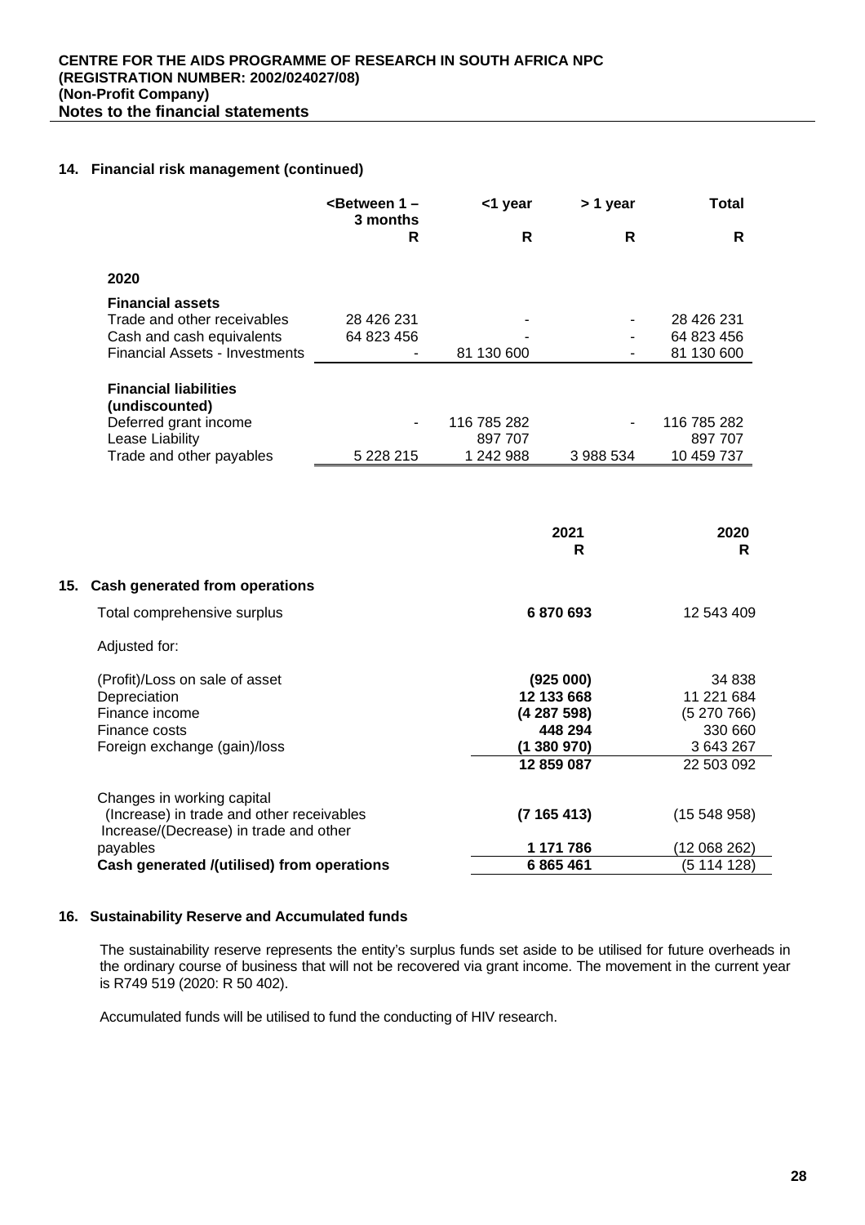|                                                                                            |                                                                                                   | <between 1-<br="">3 months</between> | <1 year                | > 1 year               | <b>Total</b>                           |
|--------------------------------------------------------------------------------------------|---------------------------------------------------------------------------------------------------|--------------------------------------|------------------------|------------------------|----------------------------------------|
|                                                                                            |                                                                                                   | R                                    | R                      | R                      | R                                      |
| 2020                                                                                       |                                                                                                   |                                      |                        |                        |                                        |
| <b>Financial assets</b>                                                                    | Trade and other receivables<br>Cash and cash equivalents<br><b>Financial Assets - Investments</b> | 28 426 231<br>64 823 456             | 81 130 600             |                        | 28 426 231<br>64 823 456<br>81 130 600 |
| <b>Financial liabilities</b><br>(undiscounted)<br>Deferred grant income<br>Lease Liability |                                                                                                   |                                      | 116 785 282<br>897 707 |                        | 116 785 282<br>897 707                 |
| Trade and other payables                                                                   |                                                                                                   | 5 228 215                            | 1 242 988              | 3 988 534              | 10 459 737                             |
| 15.                                                                                        | <b>Cash generated from operations</b>                                                             |                                      |                        | 2021<br>R              | 2020<br>R.                             |
| Total comprehensive surplus                                                                |                                                                                                   |                                      |                        | 6870693                | 12 543 409                             |
| Adjusted for:                                                                              |                                                                                                   |                                      |                        |                        |                                        |
| (Profit)/Loss on sale of asset<br>Depreciation<br>Finance income                           |                                                                                                   |                                      |                        | (925000)<br>12 133 668 | 34 838<br>11 221 684                   |
| Finance costs                                                                              |                                                                                                   |                                      |                        | (4287598)<br>448 294   | (5270766)<br>330 660                   |
| Foreign exchange (gain)/loss                                                               |                                                                                                   |                                      |                        | (1380970)              | 3 643 267                              |
|                                                                                            |                                                                                                   |                                      |                        | 12 859 087             | 22 503 092                             |
| Changes in working capital                                                                 | (Increase) in trade and other receivables<br>Increase/(Decrease) in trade and other               |                                      |                        | (7165413)              | (15548958)                             |
| payables                                                                                   |                                                                                                   |                                      |                        | 1 171 786              | (12 068 262)                           |
|                                                                                            | Cash generated /(utilised) from operations                                                        |                                      |                        | 6 865 461              | (5114128)                              |

# **16. Sustainability Reserve and Accumulated funds**

The sustainability reserve represents the entity's surplus funds set aside to be utilised for future overheads in the ordinary course of business that will not be recovered via grant income. The movement in the current year is R749 519 (2020: R 50 402).

Accumulated funds will be utilised to fund the conducting of HIV research.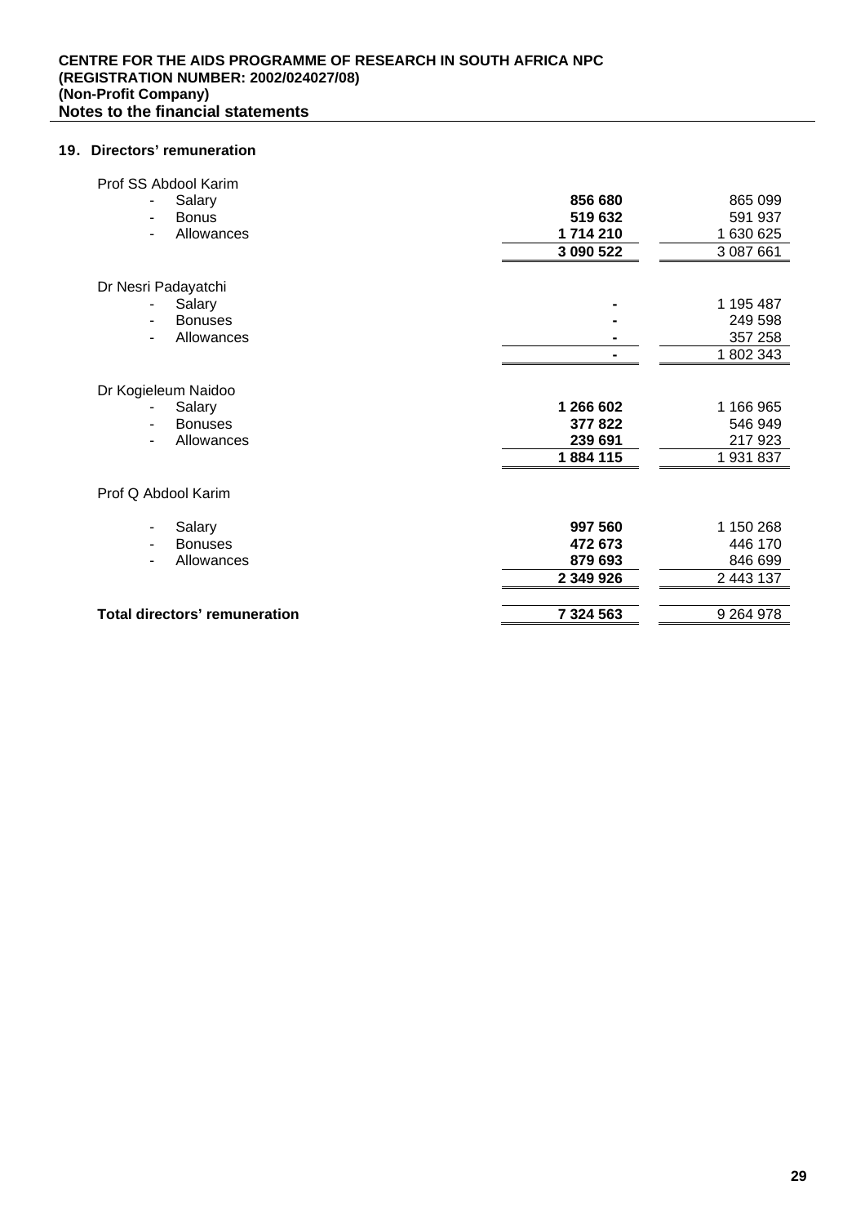# **19. Directors' remuneration**

| Prof SS Abdool Karim                 |           |             |
|--------------------------------------|-----------|-------------|
| Salary                               | 856 680   | 865 099     |
| <b>Bonus</b><br>۰                    | 519 632   | 591 937     |
| Allowances                           | 1714210   | 1 630 625   |
|                                      | 3 090 522 | 3 087 661   |
| Dr Nesri Padayatchi                  |           |             |
| Salary                               |           | 1 195 487   |
| <b>Bonuses</b>                       |           | 249 598     |
| Allowances<br>۰                      |           | 357 258     |
|                                      |           | 1802343     |
| Dr Kogieleum Naidoo                  |           |             |
| Salary                               | 1 266 602 | 1 166 965   |
| <b>Bonuses</b>                       | 377822    | 546 949     |
| Allowances<br>٠                      | 239 691   | 217 923     |
|                                      | 1884 115  | 1931837     |
| Prof Q Abdool Karim                  |           |             |
| Salary                               | 997 560   | 1 150 268   |
| <b>Bonuses</b>                       | 472 673   | 446 170     |
| Allowances                           | 879 693   | 846 699     |
|                                      | 2 349 926 | 2 443 137   |
| <b>Total directors' remuneration</b> | 7 324 563 | 9 2 64 9 78 |
|                                      |           |             |